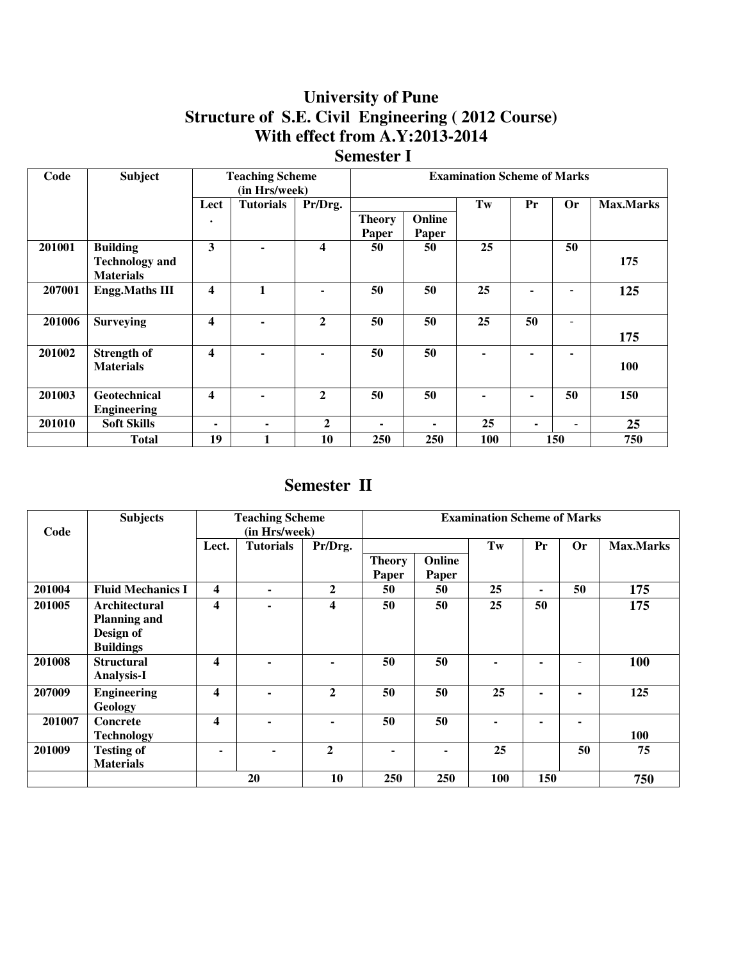# **University of Pune Structure of S.E. Civil Engineering ( 2012 Course) With effect from A.Y:2013-2014**

| <b>Semester I</b> |  |
|-------------------|--|
|-------------------|--|

| Code   | <b>Subject</b>                            | <b>Teaching Scheme</b><br>(in Hrs/week) |                  |                | <b>Examination Scheme of Marks</b> |                 |     |    |           |                  |
|--------|-------------------------------------------|-----------------------------------------|------------------|----------------|------------------------------------|-----------------|-----|----|-----------|------------------|
|        |                                           |                                         |                  |                |                                    |                 |     |    |           |                  |
|        |                                           | Lect                                    | <b>Tutorials</b> | Pr/Drg.        |                                    |                 | Tw  | Pr | <b>Or</b> | <b>Max.Marks</b> |
|        |                                           | ٠                                       |                  |                | <b>Theory</b><br>Paper             | Online<br>Paper |     |    |           |                  |
| 201001 | <b>Building</b>                           | 3                                       | ۰                | 4              | 50                                 | 50              | 25  |    | 50        |                  |
|        | <b>Technology and</b><br><b>Materials</b> |                                         |                  |                |                                    |                 |     |    |           | 175              |
| 207001 | <b>Engg.Maths III</b>                     | 4                                       | 1                | $\blacksquare$ | 50                                 | 50              | 25  |    | -         | 125              |
| 201006 | <b>Surveying</b>                          | 4                                       | $\blacksquare$   | $\mathbf{2}$   | 50                                 | 50              | 25  | 50 |           |                  |
|        |                                           |                                         |                  |                |                                    |                 |     |    |           | 175              |
| 201002 | <b>Strength of</b><br><b>Materials</b>    | 4                                       | ۰                | $\blacksquare$ | 50                                 | 50              |     |    | -         | 100              |
| 201003 | <b>Geotechnical</b><br><b>Engineering</b> | 4                                       | ۰                | $\mathbf{2}$   | 50                                 | 50              |     |    | 50        | 150              |
| 201010 | <b>Soft Skills</b>                        | ۰                                       | ۰                | $\mathbf{2}$   | ۰                                  | ٠               | 25  | ٠  | ۰.        | 25               |
|        | <b>Total</b>                              | 19                                      |                  | 10             | 250                                | <b>250</b>      | 100 |    | 150       | 750              |

# **Semester II**

| Code   | <b>Subjects</b>                                                              | <b>Teaching Scheme</b><br>(in Hrs/week) |                  |                | <b>Examination Scheme of Marks</b> |                 |            |     |           |           |
|--------|------------------------------------------------------------------------------|-----------------------------------------|------------------|----------------|------------------------------------|-----------------|------------|-----|-----------|-----------|
|        |                                                                              | Lect.                                   | <b>Tutorials</b> | Pr/Drg.        |                                    |                 | Tw         | Pr  | <b>Or</b> | Max.Marks |
|        |                                                                              |                                         |                  |                | <b>Theory</b><br>Paper             | Online<br>Paper |            |     |           |           |
| 201004 | <b>Fluid Mechanics I</b>                                                     | $\overline{\mathbf{4}}$                 |                  | $\overline{2}$ | 50                                 | 50              | 25         | ۰.  | 50        | 175       |
| 201005 | <b>Architectural</b><br><b>Planning and</b><br>Design of<br><b>Buildings</b> | $\overline{\mathbf{4}}$                 |                  | 4              | 50                                 | 50              | 25         | 50  |           | 175       |
| 201008 | <b>Structural</b><br><b>Analysis-I</b>                                       | $\overline{\mathbf{4}}$                 |                  |                | 50                                 | 50              |            |     |           | 100       |
| 207009 | <b>Engineering</b><br>Geology                                                | $\overline{\mathbf{4}}$                 |                  | $\overline{2}$ | 50                                 | 50              | 25         |     |           | 125       |
| 201007 | <b>Concrete</b><br><b>Technology</b>                                         | $\overline{\mathbf{4}}$                 |                  |                | 50                                 | 50              |            |     |           | 100       |
| 201009 | <b>Testing of</b><br><b>Materials</b>                                        | ۰                                       |                  | $\mathbf{2}$   |                                    |                 | 25         |     | 50        | 75        |
|        |                                                                              |                                         | 20               | 10             | <b>250</b>                         | 250             | <b>100</b> | 150 |           | 750       |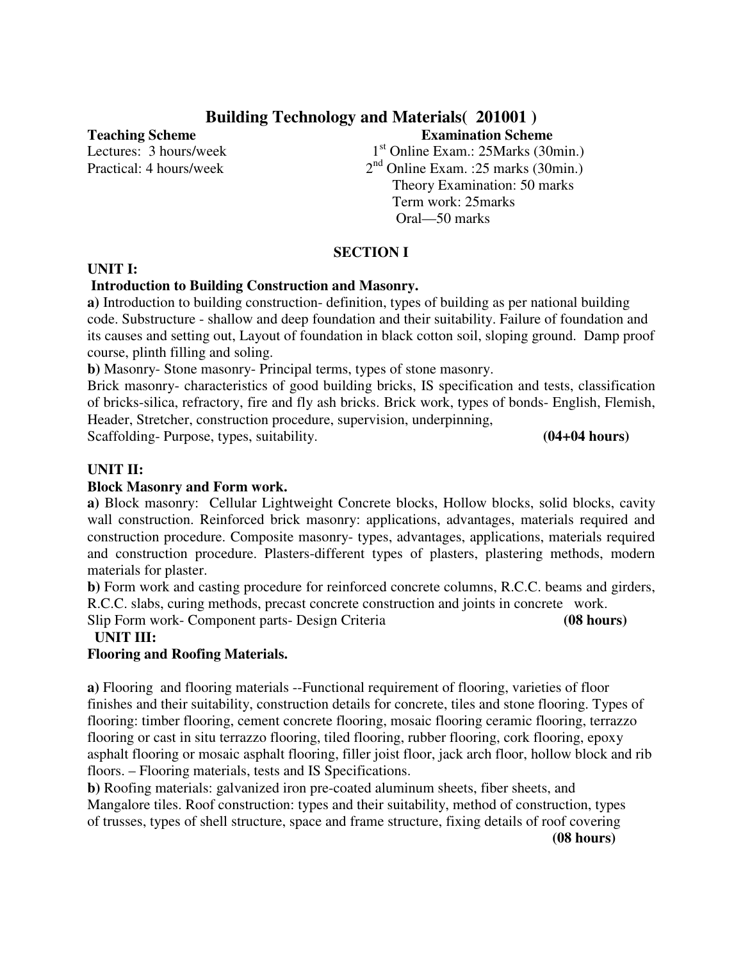# **Building Technology and Materials( 201001 )**

**Teaching Scheme Examination Scheme** 

Lectures: 3 hours/week 1<sup>st</sup> Online Exam.: 25Marks (30min.) Practical: 4 hours/week  $2<sup>nd</sup>$  Online Exam. :25 marks (30min.) Theory Examination: 50 marks Term work: 25marks

Oral—50 marks

#### **SECTION I**

#### **UNIT I:**

#### **Introduction to Building Construction and Masonry.**

**a)** Introduction to building construction- definition, types of building as per national building code. Substructure - shallow and deep foundation and their suitability. Failure of foundation and its causes and setting out, Layout of foundation in black cotton soil, sloping ground. Damp proof course, plinth filling and soling.

**b)** Masonry- Stone masonry- Principal terms, types of stone masonry.

Brick masonry- characteristics of good building bricks, IS specification and tests, classification of bricks-silica, refractory, fire and fly ash bricks. Brick work, types of bonds- English, Flemish, Header, Stretcher, construction procedure, supervision, underpinning,

Scaffolding- Purpose, types, suitability. **(04+04 hours)** 

#### **UNIT II:**

#### **Block Masonry and Form work.**

**a)** Block masonry: Cellular Lightweight Concrete blocks, Hollow blocks, solid blocks, cavity wall construction. Reinforced brick masonry: applications, advantages, materials required and construction procedure. Composite masonry- types, advantages, applications, materials required and construction procedure. Plasters-different types of plasters, plastering methods, modern materials for plaster.

**b)** Form work and casting procedure for reinforced concrete columns, R.C.C. beams and girders, R.C.C. slabs, curing methods, precast concrete construction and joints in concrete work.

Slip Form work- Component parts- Design Criteria **(08 hours)**

#### **UNIT III:**

#### **Flooring and Roofing Materials.**

**a)** Flooring and flooring materials --Functional requirement of flooring, varieties of floor finishes and their suitability, construction details for concrete, tiles and stone flooring. Types of flooring: timber flooring, cement concrete flooring, mosaic flooring ceramic flooring, terrazzo flooring or cast in situ terrazzo flooring, tiled flooring, rubber flooring, cork flooring, epoxy asphalt flooring or mosaic asphalt flooring, filler joist floor, jack arch floor, hollow block and rib floors. – Flooring materials, tests and IS Specifications.

**b)** Roofing materials: galvanized iron pre-coated aluminum sheets, fiber sheets, and Mangalore tiles. Roof construction: types and their suitability, method of construction, types of trusses, types of shell structure, space and frame structure, fixing details of roof covering **(08 hours)**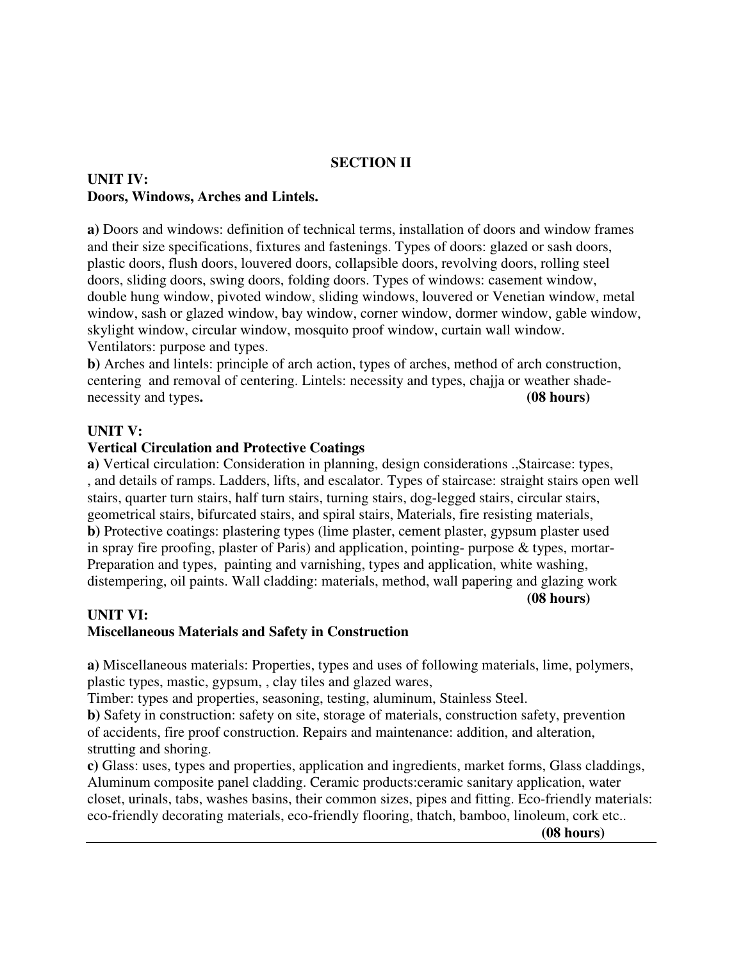## **SECTION II**

#### **UNIT IV: Doors, Windows, Arches and Lintels.**

**a)** Doors and windows: definition of technical terms, installation of doors and window frames and their size specifications, fixtures and fastenings. Types of doors: glazed or sash doors, plastic doors, flush doors, louvered doors, collapsible doors, revolving doors, rolling steel doors, sliding doors, swing doors, folding doors. Types of windows: casement window, double hung window, pivoted window, sliding windows, louvered or Venetian window, metal window, sash or glazed window, bay window, corner window, dormer window, gable window, skylight window, circular window, mosquito proof window, curtain wall window. Ventilators: purpose and types.

**b)** Arches and lintels: principle of arch action, types of arches, method of arch construction, centering and removal of centering. Lintels: necessity and types, chajja or weather shadenecessity and types**. (08 hours)**

#### **UNIT V:**

#### **Vertical Circulation and Protective Coatings**

**a)** Vertical circulation: Consideration in planning, design considerations .,Staircase: types, , and details of ramps. Ladders, lifts, and escalator. Types of staircase: straight stairs open well stairs, quarter turn stairs, half turn stairs, turning stairs, dog-legged stairs, circular stairs, geometrical stairs, bifurcated stairs, and spiral stairs, Materials, fire resisting materials, **b**) Protective coatings: plastering types (lime plaster, cement plaster, gypsum plaster used in spray fire proofing, plaster of Paris) and application, pointing- purpose & types, mortar-Preparation and types, painting and varnishing, types and application, white washing, distempering, oil paints. Wall cladding: materials, method, wall papering and glazing work **(08 hours)** 

#### **UNIT VI:**

## **Miscellaneous Materials and Safety in Construction**

**a)** Miscellaneous materials: Properties, types and uses of following materials, lime, polymers, plastic types, mastic, gypsum, , clay tiles and glazed wares,

Timber: types and properties, seasoning, testing, aluminum, Stainless Steel.

**b)** Safety in construction: safety on site, storage of materials, construction safety, prevention of accidents, fire proof construction. Repairs and maintenance: addition, and alteration, strutting and shoring.

**c)** Glass: uses, types and properties, application and ingredients, market forms, Glass claddings, Aluminum composite panel cladding. Ceramic products:ceramic sanitary application, water closet, urinals, tabs, washes basins, their common sizes, pipes and fitting. Eco-friendly materials: eco-friendly decorating materials, eco-friendly flooring, thatch, bamboo, linoleum, cork etc..

**(08 hours)**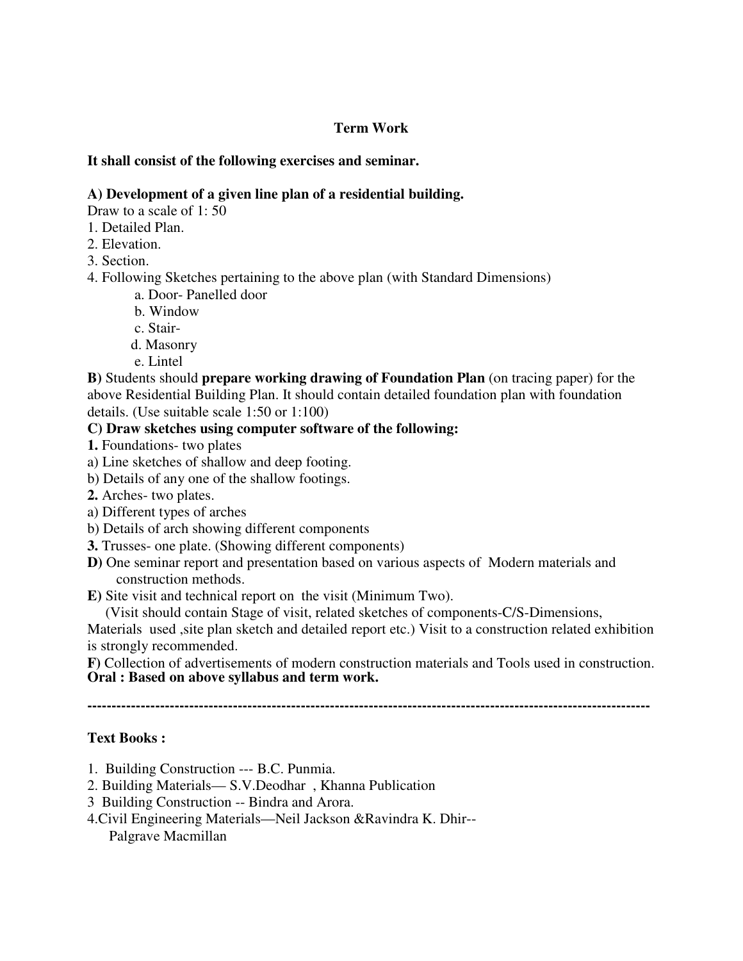## **Term Work**

#### **It shall consist of the following exercises and seminar.**

#### **A) Development of a given line plan of a residential building.**

Draw to a scale of 1: 50

- 1. Detailed Plan.
- 2. Elevation.
- 3. Section.
- 4. Following Sketches pertaining to the above plan (with Standard Dimensions)
	- a. Door- Panelled door
	- b. Window
	- c. Stair-
	- d. Masonry
	- e. Lintel

**B)** Students should **prepare working drawing of Foundation Plan** (on tracing paper) for the above Residential Building Plan. It should contain detailed foundation plan with foundation details. (Use suitable scale 1:50 or 1:100)

#### **C) Draw sketches using computer software of the following:**

- **1.** Foundations- two plates
- a) Line sketches of shallow and deep footing.
- b) Details of any one of the shallow footings.
- **2.** Arches- two plates.
- a) Different types of arches
- b) Details of arch showing different components
- **3.** Trusses- one plate. (Showing different components)
- **D)** One seminar report and presentation based on various aspects of Modern materials and construction methods.
- **E)** Site visit and technical report on the visit (Minimum Two).
	- (Visit should contain Stage of visit, related sketches of components-C/S-Dimensions,

Materials used ,site plan sketch and detailed report etc.) Visit to a construction related exhibition is strongly recommended.

**F)** Collection of advertisements of modern construction materials and Tools used in construction. **Oral : Based on above syllabus and term work.** 

**--------------------------------------------------------------------------------------------------------------------** 

#### **Text Books :**

- 1. Building Construction --- B.C. Punmia.
- 2. Building Materials— S.V.Deodhar , Khanna Publication
- 3 Building Construction -- Bindra and Arora.
- 4.Civil Engineering Materials—Neil Jackson &Ravindra K. Dhir-- Palgrave Macmillan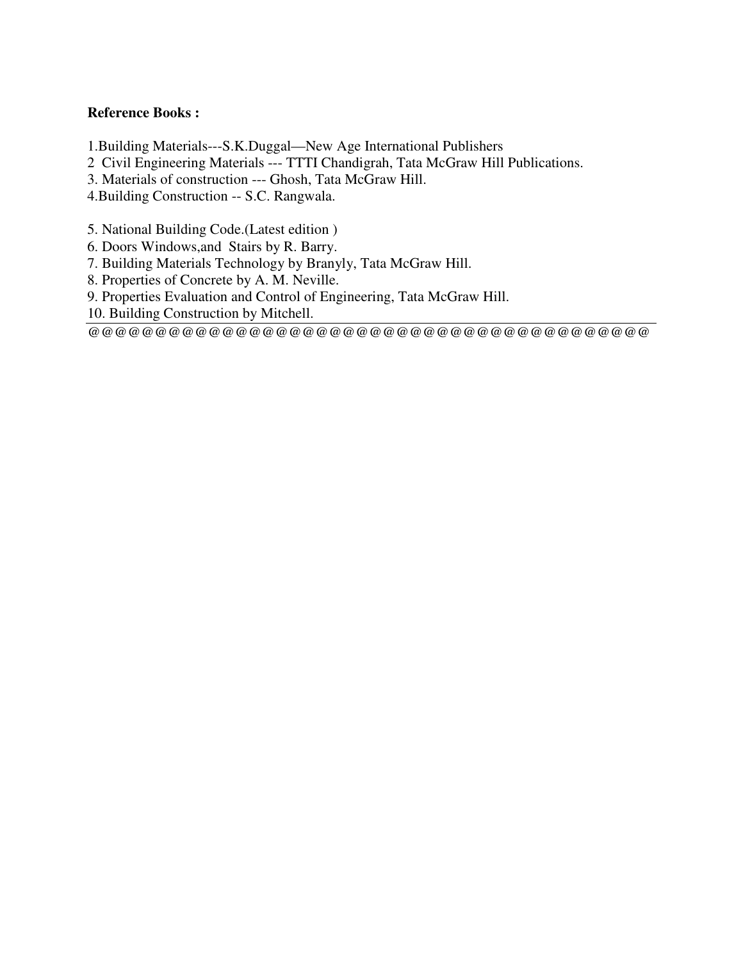#### **Reference Books :**

- 1.Building Materials---S.K.Duggal—New Age International Publishers
- 2 Civil Engineering Materials --- TTTI Chandigrah, Tata McGraw Hill Publications.
- 3. Materials of construction --- Ghosh, Tata McGraw Hill.
- 4.Building Construction -- S.C. Rangwala.
- 5. National Building Code.(Latest edition )
- 6. Doors Windows,and Stairs by R. Barry.
- 7. Building Materials Technology by Branyly, Tata McGraw Hill.
- 8. Properties of Concrete by A. M. Neville.
- 9. Properties Evaluation and Control of Engineering, Tata McGraw Hill.
- 10. Building Construction by Mitchell.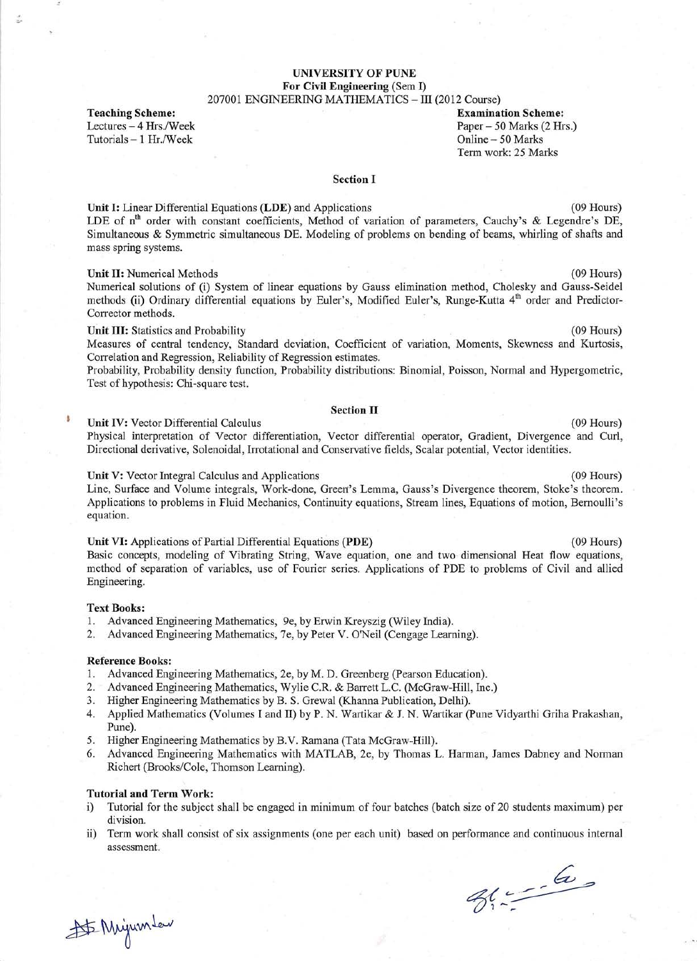#### **UNIVERSITY OF PUNE** For Civil Engineering (Sem I) 207001 ENGINEERING MATHEMATICS - III (2012 Course)

**Teaching Scheme:** Lectures - 4 Hrs./Week Tutorials - 1 Hr./Week

**Examination Scheme:** Paper - 50 Marks (2 Hrs.) Online - 50 Marks Term work: 25 Marks

 $(09$  Hours)

 $(09$  Hours)

 $(09$  Hours)

 $(09$  Hours)

#### **Section I**

Unit I: Linear Differential Equations (LDE) and Applications  $(09$  Hours) LDE of n<sup>th</sup> order with constant coefficients, Method of variation of parameters, Cauchy's & Legendre's DE, Simultaneous & Symmetric simultaneous DE. Modeling of problems on bending of beams, whirling of shafts and mass spring systems.

#### Unit II: Numerical Methods

Numerical solutions of (i) System of linear equations by Gauss elimination method, Cholesky and Gauss-Seidel methods (ii) Ordinary differential equations by Euler's, Modified Euler's, Runge-Kutta 4<sup>th</sup> order and Predictor-Corrector methods.

#### Unit III: Statistics and Probability

Measures of central tendency, Standard deviation, Coefficient of variation, Moments, Skewness and Kurtosis, Correlation and Regression, Reliability of Regression estimates.

Probability, Probability density function, Probability distributions: Binomial, Poisson, Normal and Hypergometric, Test of hypothesis: Chi-square test.

#### **Section II**

#### Unit IV: Vector Differential Calculus

 $(09$  Hours) Physical interpretation of Vector differentiation, Vector differential operator, Gradient, Divergence and Curl, Directional derivative, Solenoidal, Irrotational and Conservative fields, Scalar potential, Vector identities.

#### Unit V: Vector Integral Calculus and Applications

Line, Surface and Volume integrals, Work-done, Green's Lemma, Gauss's Divergence theorem, Stoke's theorem. Applications to problems in Fluid Mechanics, Continuity equations, Stream lines, Equations of motion, Bernoulli's equation.

Unit VI: Applications of Partial Differential Equations (PDE)

Basic concepts, modeling of Vibrating String, Wave equation, one and two dimensional Heat flow equations, method of separation of variables, use of Fourier series. Applications of PDE to problems of Civil and allied Engineering.

#### **Text Books:**

٨

- 1. Advanced Engineering Mathematics, 9e, by Erwin Kreyszig (Wiley India).
- 2. Advanced Engineering Mathematics, 7e, by Peter V. O'Neil (Cengage Learning).

#### **Reference Books:**

- 1. Advanced Engineering Mathematics, 2e, by M. D. Greenberg (Pearson Education).
- 2. Advanced Engineering Mathematics, Wylie C.R. & Barrett L.C. (McGraw-Hill, Inc.)
- 3. Higher Engineering Mathematics by B. S. Grewal (Khanna Publication, Delhi).
- 4. Applied Mathematics (Volumes I and II) by P. N. Wartikar & J. N. Wartikar (Pune Vidyarthi Griha Prakashan, Pune).
- 5. Higher Engineering Mathematics by B.V. Ramana (Tata McGraw-Hill).
- 6. Advanced Engineering Mathematics with MATLAB, 2e, by Thomas L. Harman, James Dabney and Norman Richert (Brooks/Cole, Thomson Learning).

#### **Tutorial and Term Work:**

- Tutorial for the subject shall be engaged in minimum of four batches (batch size of 20 students maximum) per  $i)$ division.
- ii) Term work shall consist of six assignments (one per each unit) based on performance and continuous internal assessment.

 $26 - 6$ 

# Mijumler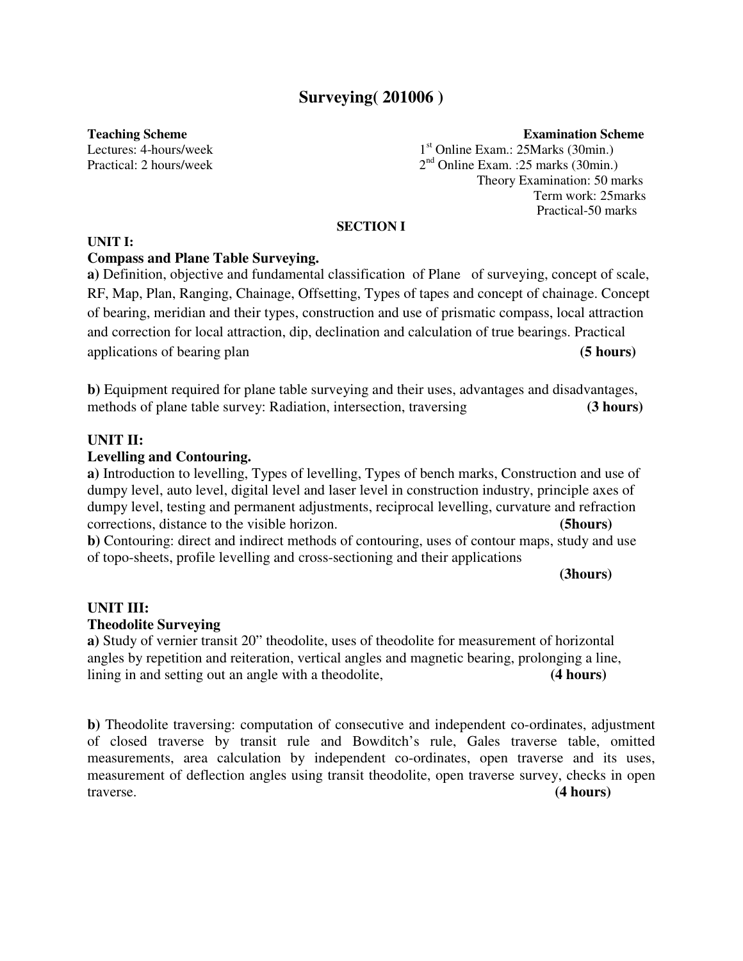## **Surveying( 201006 )**

#### **Teaching Scheme Examination Scheme Examination Scheme**

Lectures: 4-hours/week 1st Online Exam.: 25Marks (30min.) Practical: 2 hours/week  $2<sup>nd</sup>$  Online Exam. :25 marks (30min.) Theory Examination: 50 marks Term work: 25marks Practical-50 marks

#### **SECTION I**

#### **UNIT I:**

#### **Compass and Plane Table Surveying.**

**a)** Definition, objective and fundamental classification of Plane of surveying, concept of scale, RF, Map, Plan, Ranging, Chainage, Offsetting, Types of tapes and concept of chainage. Concept of bearing, meridian and their types, construction and use of prismatic compass, local attraction and correction for local attraction, dip, declination and calculation of true bearings. Practical applications of bearing plan **(5 hours)** 

**b)** Equipment required for plane table surveying and their uses, advantages and disadvantages, methods of plane table survey: Radiation, intersection, traversing **(3 hours)** 

#### **UNIT II:**

#### **Levelling and Contouring.**

**a)** Introduction to levelling, Types of levelling, Types of bench marks, Construction and use of dumpy level, auto level, digital level and laser level in construction industry, principle axes of dumpy level, testing and permanent adjustments, reciprocal levelling, curvature and refraction corrections, distance to the visible horizon. **(5hours)** 

**b)** Contouring: direct and indirect methods of contouring, uses of contour maps, study and use of topo-sheets, profile levelling and cross-sectioning and their applications

**(3hours)**

#### **UNIT III:**

#### **Theodolite Surveying**

**a)** Study of vernier transit 20" theodolite, uses of theodolite for measurement of horizontal angles by repetition and reiteration, vertical angles and magnetic bearing, prolonging a line, lining in and setting out an angle with a theodolite, **(4 hours)** 

**b)** Theodolite traversing: computation of consecutive and independent co-ordinates, adjustment of closed traverse by transit rule and Bowditch's rule, Gales traverse table, omitted measurements, area calculation by independent co-ordinates, open traverse and its uses, measurement of deflection angles using transit theodolite, open traverse survey, checks in open traverse. **(4 hours)**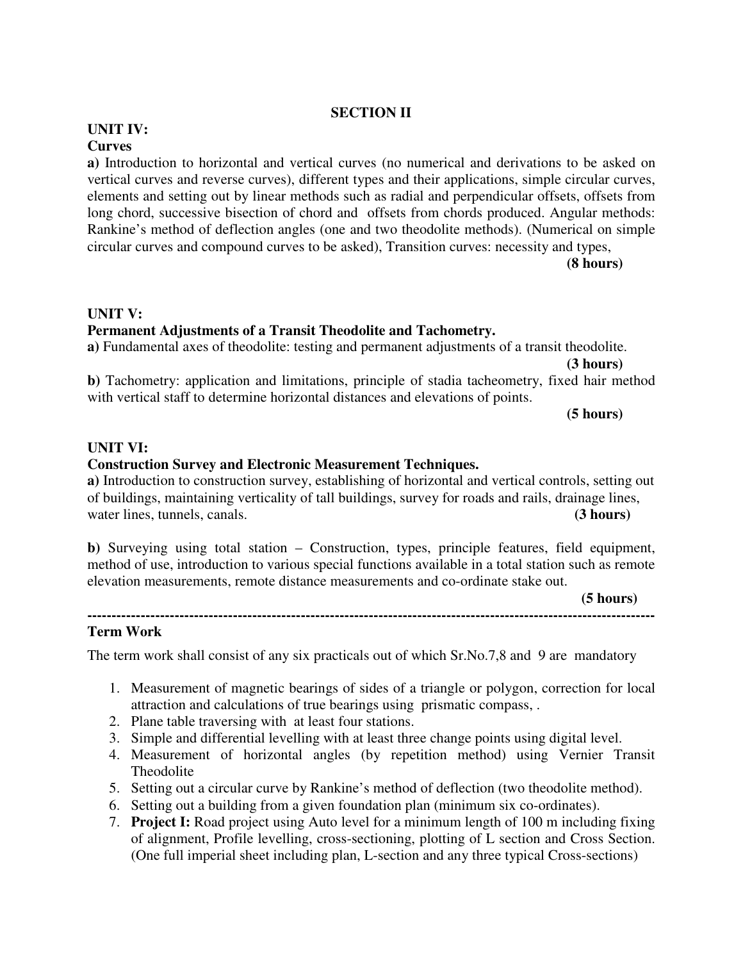#### **SECTION II**

# **UNIT IV:**

## **Curves**

**a)** Introduction to horizontal and vertical curves (no numerical and derivations to be asked on vertical curves and reverse curves), different types and their applications, simple circular curves, elements and setting out by linear methods such as radial and perpendicular offsets, offsets from long chord, successive bisection of chord and offsets from chords produced. Angular methods: Rankine's method of deflection angles (one and two theodolite methods). (Numerical on simple circular curves and compound curves to be asked), Transition curves: necessity and types,

**(8 hours)** 

#### **UNIT V:**

#### **Permanent Adjustments of a Transit Theodolite and Tachometry.**

**a)** Fundamental axes of theodolite: testing and permanent adjustments of a transit theodolite.

 **(3 hours)** 

**b)** Tachometry: application and limitations, principle of stadia tacheometry, fixed hair method with vertical staff to determine horizontal distances and elevations of points.

**(5 hours)** 

#### **UNIT VI:**

#### **Construction Survey and Electronic Measurement Techniques.**

**a)** Introduction to construction survey, establishing of horizontal and vertical controls, setting out of buildings, maintaining verticality of tall buildings, survey for roads and rails, drainage lines, water lines, tunnels, canals. **(3 hours) (3 hours)** 

**b)** Surveying using total station – Construction, types, principle features, field equipment, method of use, introduction to various special functions available in a total station such as remote elevation measurements, remote distance measurements and co-ordinate stake out.

**(5 hours)** 

#### **--------------------------------------------------------------------------------------------------------------------- Term Work**

The term work shall consist of any six practicals out of which Sr.No.7,8 and 9 are mandatory

- 1. Measurement of magnetic bearings of sides of a triangle or polygon, correction for local attraction and calculations of true bearings using prismatic compass, .
- 2. Plane table traversing with at least four stations.
- 3. Simple and differential levelling with at least three change points using digital level.
- 4. Measurement of horizontal angles (by repetition method) using Vernier Transit Theodolite
- 5. Setting out a circular curve by Rankine's method of deflection (two theodolite method).
- 6. Setting out a building from a given foundation plan (minimum six co-ordinates).
- 7. **Project I:** Road project using Auto level for a minimum length of 100 m including fixing of alignment, Profile levelling, cross-sectioning, plotting of L section and Cross Section. (One full imperial sheet including plan, L-section and any three typical Cross-sections)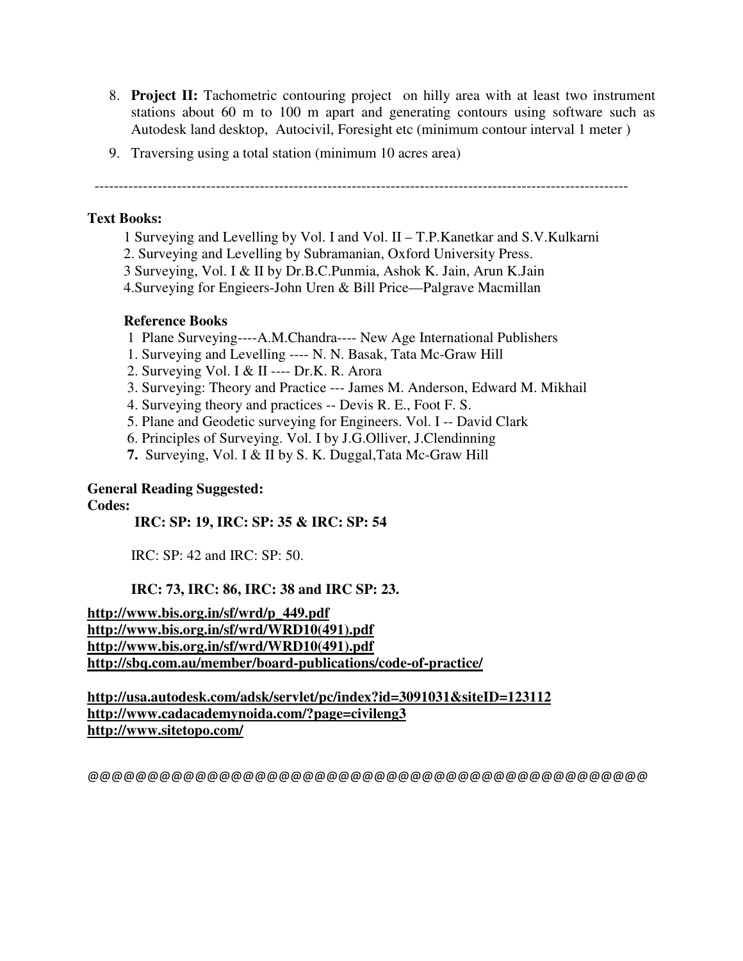- 8. **Project II:** Tachometric contouring project on hilly area with at least two instrument stations about 60 m to 100 m apart and generating contours using software such as Autodesk land desktop, Autocivil, Foresight etc (minimum contour interval 1 meter )
- 9. Traversing using a total station (minimum 10 acres area)

--------------------------------------------------------------------------------------------------------------

#### **Text Books:**

- 1 Surveying and Levelling by Vol. I and Vol. II T.P.Kanetkar and S.V.Kulkarni
- 2. Surveying and Levelling by Subramanian, Oxford University Press.
- 3 Surveying, Vol. I & II by Dr.B.C.Punmia, Ashok K. Jain, Arun K.Jain

4.Surveying for Engieers-John Uren & Bill Price—Palgrave Macmillan

#### **Reference Books**

- 1 Plane Surveying----A.M.Chandra---- New Age International Publishers
- 1. Surveying and Levelling ---- N. N. Basak, Tata Mc-Graw Hill
- 2. Surveying Vol. I & II ---- Dr.K. R. Arora
- 3. Surveying: Theory and Practice --- James M. Anderson, Edward M. Mikhail
- 4. Surveying theory and practices -- Devis R. E., Foot F. S.
- 5. Plane and Geodetic surveying for Engineers. Vol. I -- David Clark
- 6. Principles of Surveying. Vol. I by J.G.Olliver, J.Clendinning
- **7.** Surveying, Vol. I & II by S. K. Duggal,Tata Mc-Graw Hill

#### **General Reading Suggested:**

**Codes:** 

#### **IRC: SP: 19, IRC: SP: 35 & IRC: SP: 54**

IRC: SP: 42 and IRC: SP: 50.

## **IRC: 73, IRC: 86, IRC: 38 and IRC SP: 23.**

**http://www.bis.org.in/sf/wrd/p\_449.pdf http://www.bis.org.in/sf/wrd/WRD10(491).pdf http://www.bis.org.in/sf/wrd/WRD10(491).pdf http://sbq.com.au/member/board-publications/code-of-practice/**

**http://usa.autodesk.com/adsk/servlet/pc/index?id=3091031&siteID=123112 http://www.cadacademynoida.com/?page=civileng3 http://www.sitetopo.com/**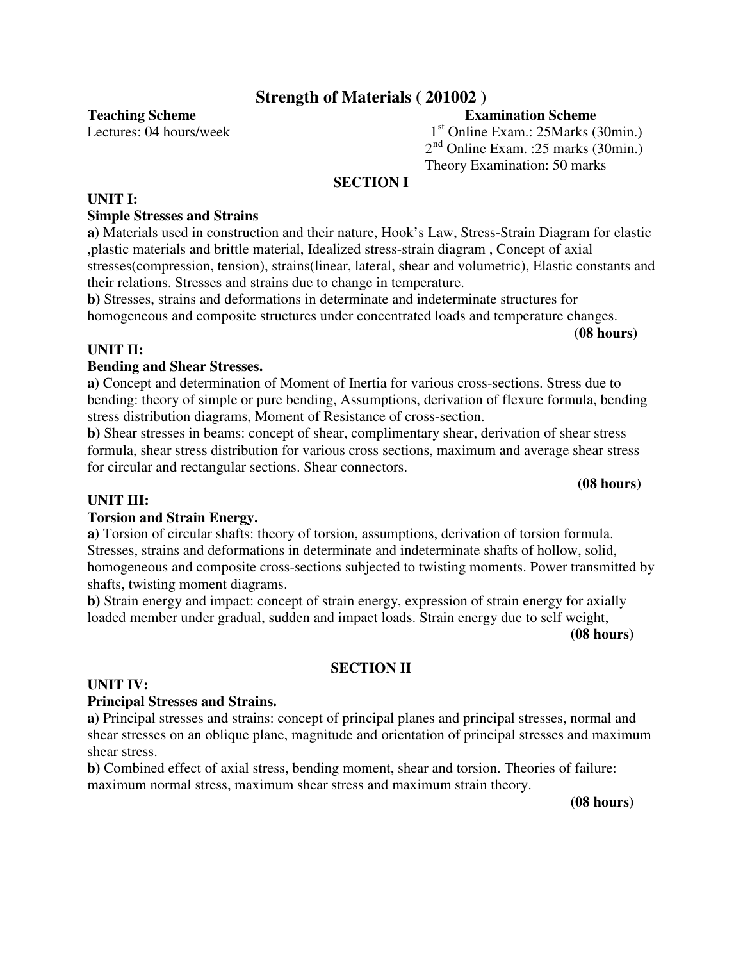# **Strength of Materials ( 201002 )**

#### **Teaching Scheme Examination Scheme**

Lectures: 04 hours/week 1st Online Exam.: 25Marks (30min.) 2nd Online Exam. :25 marks (30min.) Theory Examination: 50 marks

#### **SECTION I**

#### **UNIT I:**

#### **Simple Stresses and Strains**

**a)** Materials used in construction and their nature, Hook's Law, Stress-Strain Diagram for elastic ,plastic materials and brittle material, Idealized stress-strain diagram , Concept of axial stresses(compression, tension), strains(linear, lateral, shear and volumetric), Elastic constants and their relations. Stresses and strains due to change in temperature.

**b)** Stresses, strains and deformations in determinate and indeterminate structures for homogeneous and composite structures under concentrated loads and temperature changes. **(08 hours)** 

#### **UNIT II:**

#### **Bending and Shear Stresses.**

**a)** Concept and determination of Moment of Inertia for various cross-sections. Stress due to bending: theory of simple or pure bending, Assumptions, derivation of flexure formula, bending stress distribution diagrams, Moment of Resistance of cross-section.

**b)** Shear stresses in beams: concept of shear, complimentary shear, derivation of shear stress formula, shear stress distribution for various cross sections, maximum and average shear stress for circular and rectangular sections. Shear connectors.

#### **(08 hours)**

#### **UNIT III:**

#### **Torsion and Strain Energy.**

**a)** Torsion of circular shafts: theory of torsion, assumptions, derivation of torsion formula. Stresses, strains and deformations in determinate and indeterminate shafts of hollow, solid, homogeneous and composite cross-sections subjected to twisting moments. Power transmitted by shafts, twisting moment diagrams.

**b)** Strain energy and impact: concept of strain energy, expression of strain energy for axially loaded member under gradual, sudden and impact loads. Strain energy due to self weight,

**(08 hours)** 

#### **SECTION II**

#### **UNIT IV:**

#### **Principal Stresses and Strains.**

**a)** Principal stresses and strains: concept of principal planes and principal stresses, normal and shear stresses on an oblique plane, magnitude and orientation of principal stresses and maximum shear stress.

**b)** Combined effect of axial stress, bending moment, shear and torsion. Theories of failure: maximum normal stress, maximum shear stress and maximum strain theory.

**(08 hours)**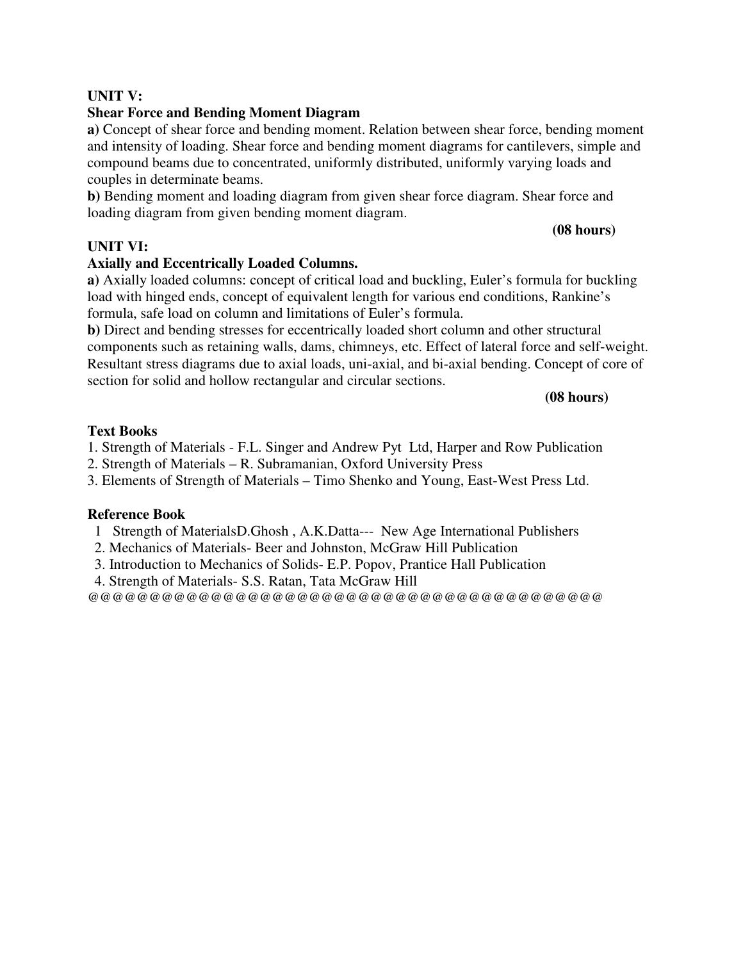## **UNIT V:**

#### **Shear Force and Bending Moment Diagram**

**a)** Concept of shear force and bending moment. Relation between shear force, bending moment and intensity of loading. Shear force and bending moment diagrams for cantilevers, simple and compound beams due to concentrated, uniformly distributed, uniformly varying loads and couples in determinate beams.

**b)** Bending moment and loading diagram from given shear force diagram. Shear force and loading diagram from given bending moment diagram.

 **(08 hours)** 

#### **UNIT VI:**

#### **Axially and Eccentrically Loaded Columns.**

**a)** Axially loaded columns: concept of critical load and buckling, Euler's formula for buckling load with hinged ends, concept of equivalent length for various end conditions, Rankine's formula, safe load on column and limitations of Euler's formula.

**b)** Direct and bending stresses for eccentrically loaded short column and other structural components such as retaining walls, dams, chimneys, etc. Effect of lateral force and self-weight. Resultant stress diagrams due to axial loads, uni-axial, and bi-axial bending. Concept of core of section for solid and hollow rectangular and circular sections.

**(08 hours)** 

#### **Text Books**

1. Strength of Materials - F.L. Singer and Andrew Pyt Ltd, Harper and Row Publication

- 2. Strength of Materials R. Subramanian, Oxford University Press
- 3. Elements of Strength of Materials Timo Shenko and Young, East-West Press Ltd.

#### **Reference Book**

- 1 Strength of MaterialsD.Ghosh , A.K.Datta--- New Age International Publishers
- 2. Mechanics of Materials- Beer and Johnston, McGraw Hill Publication
- 3. Introduction to Mechanics of Solids- E.P. Popov, Prantice Hall Publication
- 4. Strength of Materials- S.S. Ratan, Tata McGraw Hill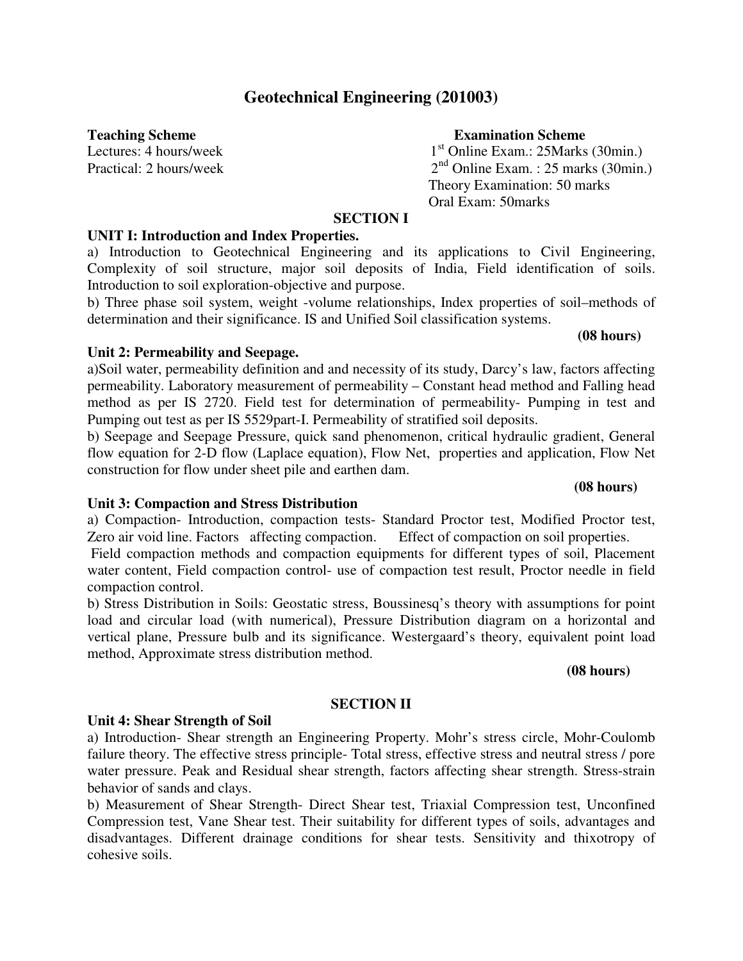# **Geotechnical Engineering (201003)**

#### **Teaching Scheme Examination Scheme**

Lectures: 4 hours/week  $1<sup>st</sup>$  Online Exam.: 25Marks (30min.) Practical: 2 hours/week  $2<sup>nd</sup>$  Online Exam. : 25 marks (30min.) Theory Examination: 50 marks Oral Exam: 50marks

#### **SECTION I**

#### **UNIT I: Introduction and Index Properties.**

a) Introduction to Geotechnical Engineering and its applications to Civil Engineering, Complexity of soil structure, major soil deposits of India, Field identification of soils. Introduction to soil exploration-objective and purpose.

b) Three phase soil system, weight -volume relationships, Index properties of soil–methods of determination and their significance. IS and Unified Soil classification systems.

#### **(08 hours)**

**(08 hours)** 

#### **Unit 2: Permeability and Seepage.**

a)Soil water, permeability definition and and necessity of its study, Darcy's law, factors affecting permeability. Laboratory measurement of permeability – Constant head method and Falling head method as per IS 2720. Field test for determination of permeability- Pumping in test and Pumping out test as per IS 5529part-I. Permeability of stratified soil deposits.

b) Seepage and Seepage Pressure, quick sand phenomenon, critical hydraulic gradient, General flow equation for 2-D flow (Laplace equation), Flow Net, properties and application, Flow Net construction for flow under sheet pile and earthen dam.

#### **Unit 3: Compaction and Stress Distribution**

a) Compaction- Introduction, compaction tests- Standard Proctor test, Modified Proctor test, Zero air void line. Factors affecting compaction. Effect of compaction on soil properties.

 Field compaction methods and compaction equipments for different types of soil, Placement water content, Field compaction control- use of compaction test result, Proctor needle in field compaction control.

b) Stress Distribution in Soils: Geostatic stress, Boussinesq's theory with assumptions for point load and circular load (with numerical), Pressure Distribution diagram on a horizontal and vertical plane, Pressure bulb and its significance. Westergaard's theory, equivalent point load method, Approximate stress distribution method.

#### **(08 hours)**

#### **SECTION II**

#### **Unit 4: Shear Strength of Soil**

a) Introduction- Shear strength an Engineering Property. Mohr's stress circle, Mohr-Coulomb failure theory. The effective stress principle- Total stress, effective stress and neutral stress / pore water pressure. Peak and Residual shear strength, factors affecting shear strength. Stress-strain behavior of sands and clays.

b) Measurement of Shear Strength- Direct Shear test, Triaxial Compression test, Unconfined Compression test, Vane Shear test. Their suitability for different types of soils, advantages and disadvantages. Different drainage conditions for shear tests. Sensitivity and thixotropy of cohesive soils.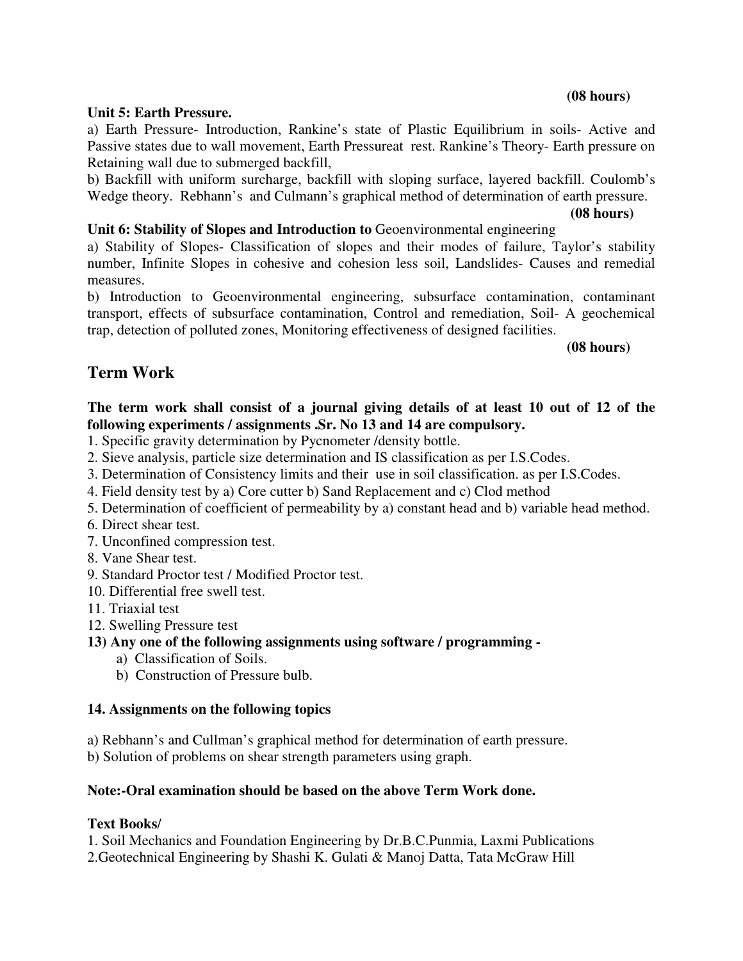#### **(08 hours)**

#### **Unit 5: Earth Pressure.**

a) Earth Pressure- Introduction, Rankine's state of Plastic Equilibrium in soils- Active and Passive states due to wall movement, Earth Pressureat rest. Rankine's Theory- Earth pressure on Retaining wall due to submerged backfill,

b) Backfill with uniform surcharge, backfill with sloping surface, layered backfill. Coulomb's Wedge theory. Rebhann's and Culmann's graphical method of determination of earth pressure.

## **(08 hours)**

## **Unit 6: Stability of Slopes and Introduction to** Geoenvironmental engineering

a) Stability of Slopes- Classification of slopes and their modes of failure, Taylor's stability number, Infinite Slopes in cohesive and cohesion less soil, Landslides- Causes and remedial measures.

b) Introduction to Geoenvironmental engineering, subsurface contamination, contaminant transport, effects of subsurface contamination, Control and remediation, Soil- A geochemical trap, detection of polluted zones, Monitoring effectiveness of designed facilities.

 **(08 hours)** 

# **Term Work**

## **The term work shall consist of a journal giving details of at least 10 out of 12 of the following experiments / assignments .Sr. No 13 and 14 are compulsory.**

- 1. Specific gravity determination by Pycnometer /density bottle.
- 2. Sieve analysis, particle size determination and IS classification as per I.S.Codes.
- 3. Determination of Consistency limits and their use in soil classification. as per I.S.Codes.
- 4. Field density test by a) Core cutter b) Sand Replacement and c) Clod method
- 5. Determination of coefficient of permeability by a) constant head and b) variable head method.
- 6. Direct shear test.
- 7. Unconfined compression test.
- 8. Vane Shear test.
- 9. Standard Proctor test / Modified Proctor test.
- 10. Differential free swell test.
- 11. Triaxial test
- 12. Swelling Pressure test
- **13) Any one of the following assignments using software / programming** 
	- a) Classification of Soils.
	- b) Construction of Pressure bulb.

#### **14. Assignments on the following topics**

a) Rebhann's and Cullman's graphical method for determination of earth pressure.

b) Solution of problems on shear strength parameters using graph.

## **Note:-Oral examination should be based on the above Term Work done.**

#### **Text Books**/

1. Soil Mechanics and Foundation Engineering by Dr.B.C.Punmia, Laxmi Publications 2.Geotechnical Engineering by Shashi K. Gulati & Manoj Datta, Tata McGraw Hill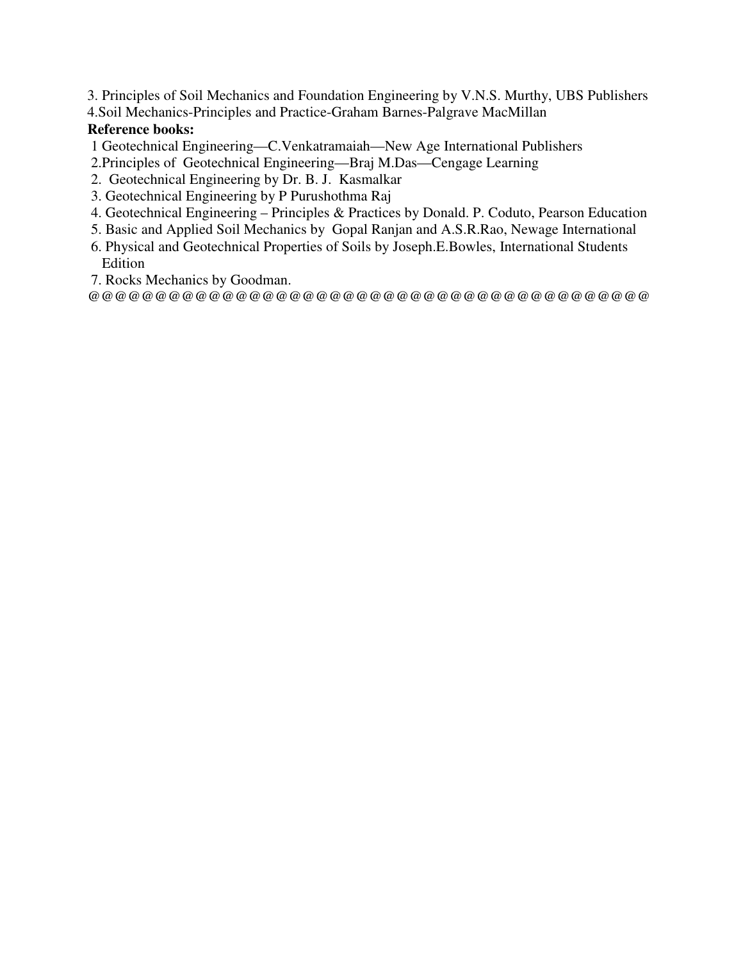3. Principles of Soil Mechanics and Foundation Engineering by V.N.S. Murthy, UBS Publishers 4.Soil Mechanics-Principles and Practice-Graham Barnes-Palgrave MacMillan

## **Reference books:**

1 Geotechnical Engineering—C.Venkatramaiah—New Age International Publishers

- 2.Principles of Geotechnical Engineering—Braj M.Das—Cengage Learning
- 2. Geotechnical Engineering by Dr. B. J. Kasmalkar
- 3. Geotechnical Engineering by P Purushothma Raj
- 4. Geotechnical Engineering Principles & Practices by Donald. P. Coduto, Pearson Education
- 5. Basic and Applied Soil Mechanics by Gopal Ranjan and A.S.R.Rao, Newage International
- 6. Physical and Geotechnical Properties of Soils by Joseph.E.Bowles, International Students Edition
- 7. Rocks Mechanics by Goodman.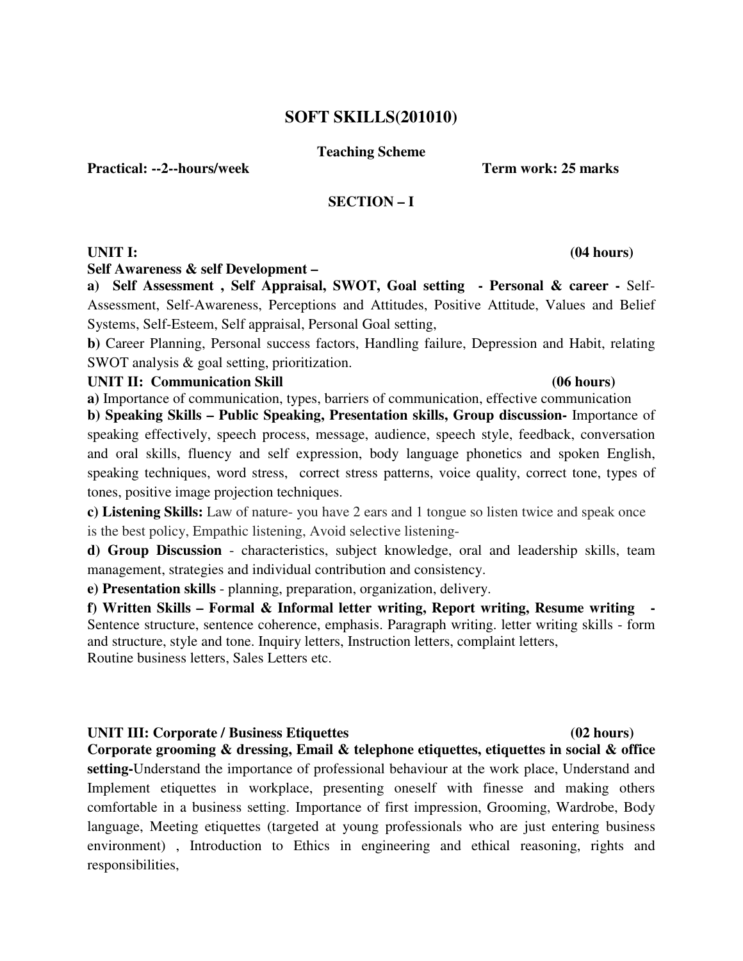#### **SOFT SKILLS(201010)**

#### **Teaching Scheme**

**Practical: --2--hours/week Term work: 25 marks**

#### **SECTION – I**

#### **Self Awareness & self Development –**

**a) Self Assessment , Self Appraisal, SWOT, Goal setting - Personal & career -** Self-Assessment, Self-Awareness, Perceptions and Attitudes, Positive Attitude, Values and Belief Systems, Self-Esteem, Self appraisal, Personal Goal setting,

**b)** Career Planning, Personal success factors, Handling failure, Depression and Habit, relating SWOT analysis & goal setting, prioritization.

#### **UNIT II: Communication Skill (06 hours)**

## **a)** Importance of communication, types, barriers of communication, effective communication **b) Speaking Skills – Public Speaking, Presentation skills, Group discussion-** Importance of speaking effectively, speech process, message, audience, speech style, feedback, conversation and oral skills, fluency and self expression, body language phonetics and spoken English, speaking techniques, word stress, correct stress patterns, voice quality, correct tone, types of tones, positive image projection techniques.

**c) Listening Skills:** Law of nature- you have 2 ears and 1 tongue so listen twice and speak once is the best policy, Empathic listening, Avoid selective listening-

**d) Group Discussion** - characteristics, subject knowledge, oral and leadership skills, team management, strategies and individual contribution and consistency.

**e) Presentation skills** - planning, preparation, organization, delivery.

**f) Written Skills – Formal & Informal letter writing, Report writing, Resume writing -**  Sentence structure, sentence coherence, emphasis. Paragraph writing. letter writing skills - form and structure, style and tone. Inquiry letters, Instruction letters, complaint letters, Routine business letters, Sales Letters etc.

#### **UNIT III: Corporate / Business Etiquettes (02 hours)**

**Corporate grooming & dressing, Email & telephone etiquettes, etiquettes in social & office setting-**Understand the importance of professional behaviour at the work place, Understand and Implement etiquettes in workplace, presenting oneself with finesse and making others comfortable in a business setting. Importance of first impression, Grooming, Wardrobe, Body language, Meeting etiquettes (targeted at young professionals who are just entering business environment) , Introduction to Ethics in engineering and ethical reasoning, rights and responsibilities,

**UNIT I: (04 hours)**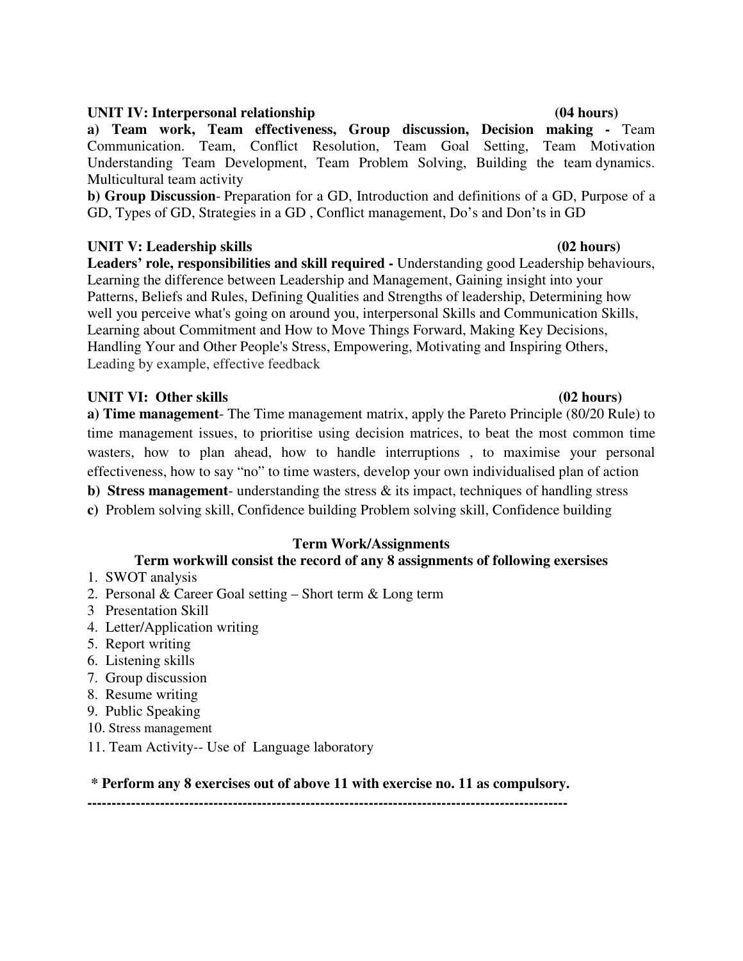#### **UNIT IV: Interpersonal relationship (04 hours)**

**a) Team work, Team effectiveness, Group discussion, Decision making -** Team Communication. Team, Conflict Resolution, Team Goal Setting, Team Motivation Understanding Team Development, Team Problem Solving, Building the team dynamics. Multicultural team activity

**b) Group Discussion**- Preparation for a GD, Introduction and definitions of a GD, Purpose of a GD, Types of GD, Strategies in a GD , Conflict management, Do's and Don'ts in GD

#### **UNIT V: Leadership skills (02 hours)**

**Leaders' role, responsibilities and skill required -** Understanding good Leadership behaviours, Learning the difference between Leadership and Management, Gaining insight into your Patterns, Beliefs and Rules, Defining Qualities and Strengths of leadership, Determining how well you perceive what's going on around you, interpersonal Skills and Communication Skills, Learning about Commitment and How to Move Things Forward, Making Key Decisions, Handling Your and Other People's Stress, Empowering, Motivating and Inspiring Others, Leading by example, effective feedback

#### UNIT VI: Other skills (02 hours) **(02 hours)**

**a) Time management**- The Time management matrix, apply the Pareto Principle (80/20 Rule) to time management issues, to prioritise using decision matrices, to beat the most common time wasters, how to plan ahead, how to handle interruptions , to maximise your personal effectiveness, how to say "no" to time wasters, develop your own individualised plan of action

**b) Stress management**- understanding the stress & its impact, techniques of handling stress

**c)** Problem solving skill, Confidence building Problem solving skill, Confidence building

## **Term Work/Assignments**

## **Term workwill consist the record of any 8 assignments of following exersises**

- 1. SWOT analysis
- 2. Personal & Career Goal setting Short term & Long term
- 3 Presentation Skill
- 4. Letter/Application writing
- 5. Report writing
- 6. Listening skills
- 7. Group discussion
- 8. Resume writing
- 9. Public Speaking
- 10. Stress management
- 11. Team Activity-- Use of Language laboratory

 **\* Perform any 8 exercises out of above 11 with exercise no. 11 as compulsory.** 

**---------------------------------------------------------------------------------------------------**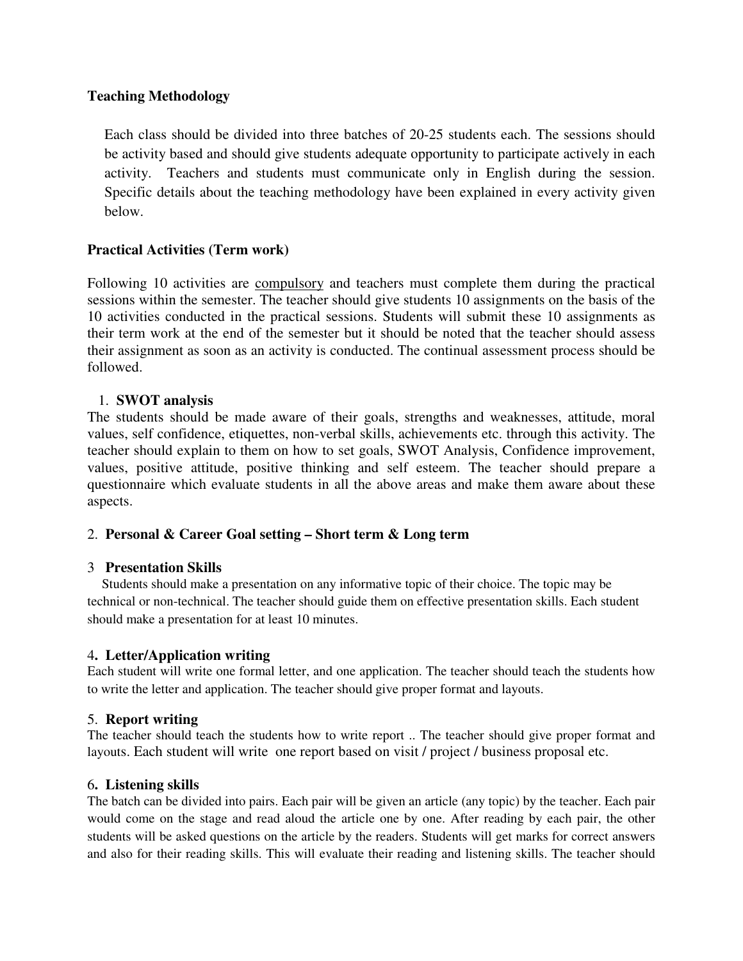#### **Teaching Methodology**

 Each class should be divided into three batches of 20-25 students each. The sessions should be activity based and should give students adequate opportunity to participate actively in each activity. Teachers and students must communicate only in English during the session. Specific details about the teaching methodology have been explained in every activity given below.

## **Practical Activities (Term work)**

Following 10 activities are compulsory and teachers must complete them during the practical sessions within the semester. The teacher should give students 10 assignments on the basis of the 10 activities conducted in the practical sessions. Students will submit these 10 assignments as their term work at the end of the semester but it should be noted that the teacher should assess their assignment as soon as an activity is conducted. The continual assessment process should be followed.

#### 1. **SWOT analysis**

The students should be made aware of their goals, strengths and weaknesses, attitude, moral values, self confidence, etiquettes, non-verbal skills, achievements etc. through this activity. The teacher should explain to them on how to set goals, SWOT Analysis, Confidence improvement, values, positive attitude, positive thinking and self esteem. The teacher should prepare a questionnaire which evaluate students in all the above areas and make them aware about these aspects.

#### 2. **Personal & Career Goal setting – Short term & Long term**

#### 3 **Presentation Skills**

 Students should make a presentation on any informative topic of their choice. The topic may be technical or non-technical. The teacher should guide them on effective presentation skills. Each student should make a presentation for at least 10 minutes.

#### 4**. Letter/Application writing**

Each student will write one formal letter, and one application. The teacher should teach the students how to write the letter and application. The teacher should give proper format and layouts.

#### 5. **Report writing**

The teacher should teach the students how to write report .. The teacher should give proper format and layouts. Each student will write one report based on visit / project / business proposal etc.

#### 6**. Listening skills**

The batch can be divided into pairs. Each pair will be given an article (any topic) by the teacher. Each pair would come on the stage and read aloud the article one by one. After reading by each pair, the other students will be asked questions on the article by the readers. Students will get marks for correct answers and also for their reading skills. This will evaluate their reading and listening skills. The teacher should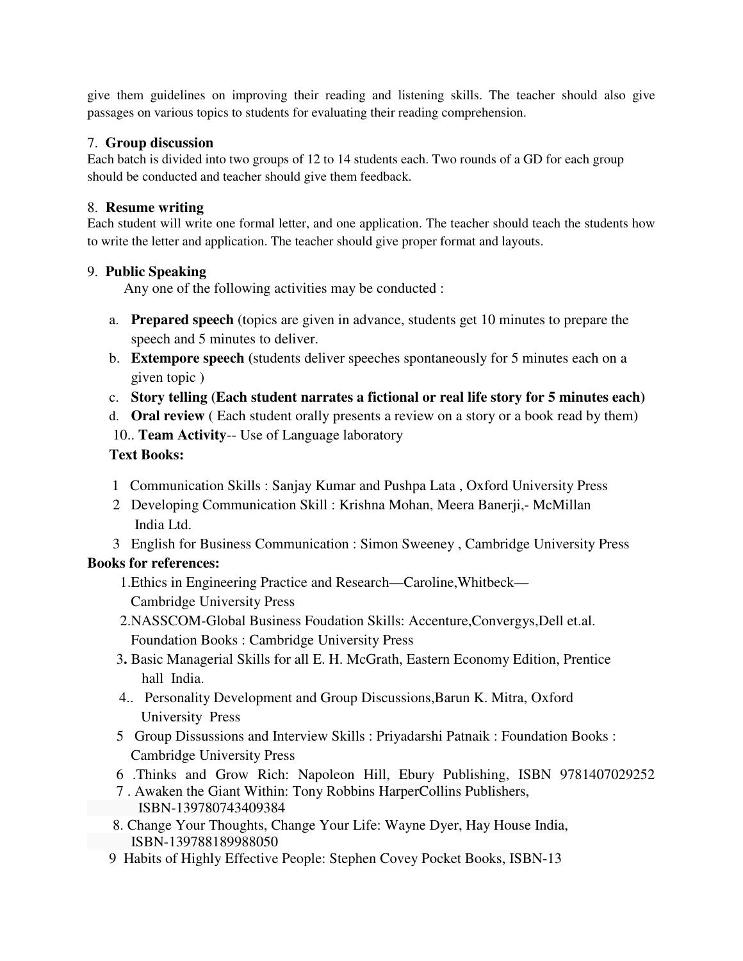give them guidelines on improving their reading and listening skills. The teacher should also give passages on various topics to students for evaluating their reading comprehension.

#### 7. **Group discussion**

Each batch is divided into two groups of 12 to 14 students each. Two rounds of a GD for each group should be conducted and teacher should give them feedback.

#### 8. **Resume writing**

Each student will write one formal letter, and one application. The teacher should teach the students how to write the letter and application. The teacher should give proper format and layouts.

#### 9. **Public Speaking**

Any one of the following activities may be conducted :

- a. **Prepared speech** (topics are given in advance, students get 10 minutes to prepare the speech and 5 minutes to deliver.
- b. **Extempore speech (**students deliver speeches spontaneously for 5 minutes each on a given topic )
- c. **Story telling (Each student narrates a fictional or real life story for 5 minutes each)**
- d. **Oral review** ( Each student orally presents a review on a story or a book read by them)

10.. **Team Activity**-- Use of Language laboratory

## **Text Books:**

- 1 Communication Skills : Sanjay Kumar and Pushpa Lata , Oxford University Press
- 2 Developing Communication Skill : Krishna Mohan, Meera Banerji,- McMillan India Ltd.
- 3 English for Business Communication : Simon Sweeney , Cambridge University Press

## **Books for references:**

- 1.Ethics in Engineering Practice and Research—Caroline,Whitbeck— Cambridge University Press
- 2.NASSCOM-Global Business Foudation Skills: Accenture,Convergys,Dell et.al. Foundation Books : Cambridge University Press
- 3**.** Basic Managerial Skills for all E. H. McGrath, Eastern Economy Edition, Prentice hall India.
- 4.. Personality Development and Group Discussions,Barun K. Mitra, Oxford University Press
- 5 Group Dissussions and Interview Skills : Priyadarshi Patnaik : Foundation Books : Cambridge University Press
- 6 .Thinks and Grow Rich: Napoleon Hill, Ebury Publishing, ISBN 9781407029252
- 7 . Awaken the Giant Within: Tony Robbins HarperCollins Publishers, ISBN-139780743409384
- 8. Change Your Thoughts, Change Your Life: Wayne Dyer, Hay House India, ISBN-139788189988050
- 9 Habits of Highly Effective People: Stephen Covey Pocket Books, ISBN-13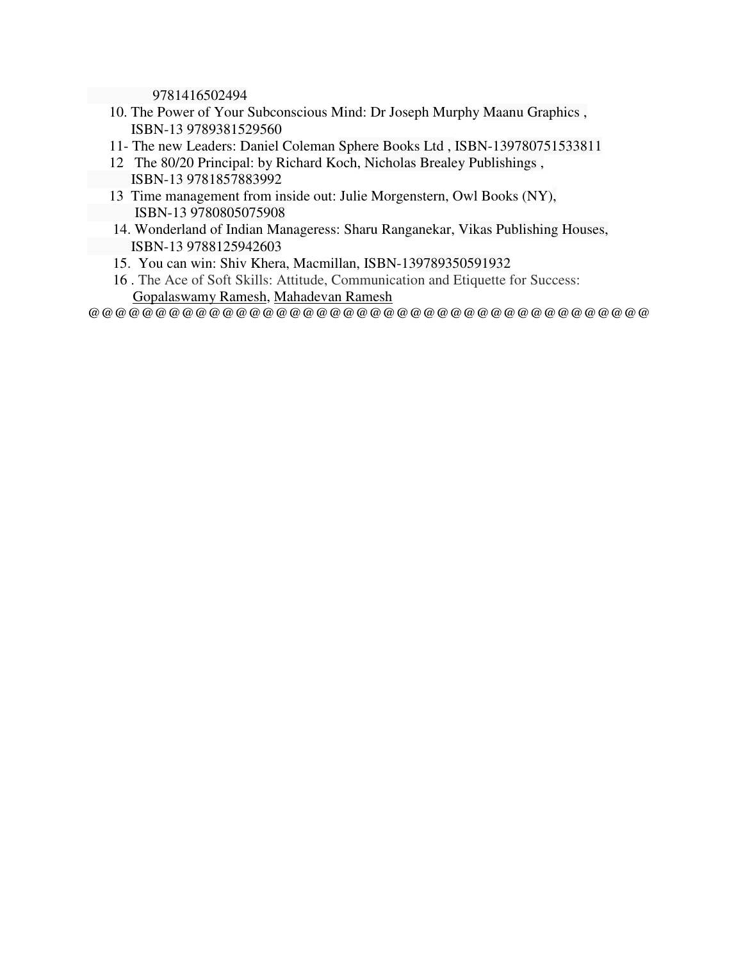9781416502494

- 10. The Power of Your Subconscious Mind: Dr Joseph Murphy Maanu Graphics , ISBN-13 9789381529560
- 11- The new Leaders: Daniel Coleman Sphere Books Ltd , ISBN-139780751533811
- 12 The 80/20 Principal: by Richard Koch, Nicholas Brealey Publishings , ISBN-13 9781857883992
- 13 Time management from inside out: Julie Morgenstern, Owl Books (NY), ISBN-13 9780805075908
- 14. Wonderland of Indian Manageress: Sharu Ranganekar, Vikas Publishing Houses, ISBN-13 9788125942603
- 15. You can win: Shiv Khera, Macmillan, ISBN-139789350591932
- 16 . The Ace of Soft Skills: Attitude, Communication and Etiquette for Success: Gopalaswamy Ramesh, Mahadevan Ramesh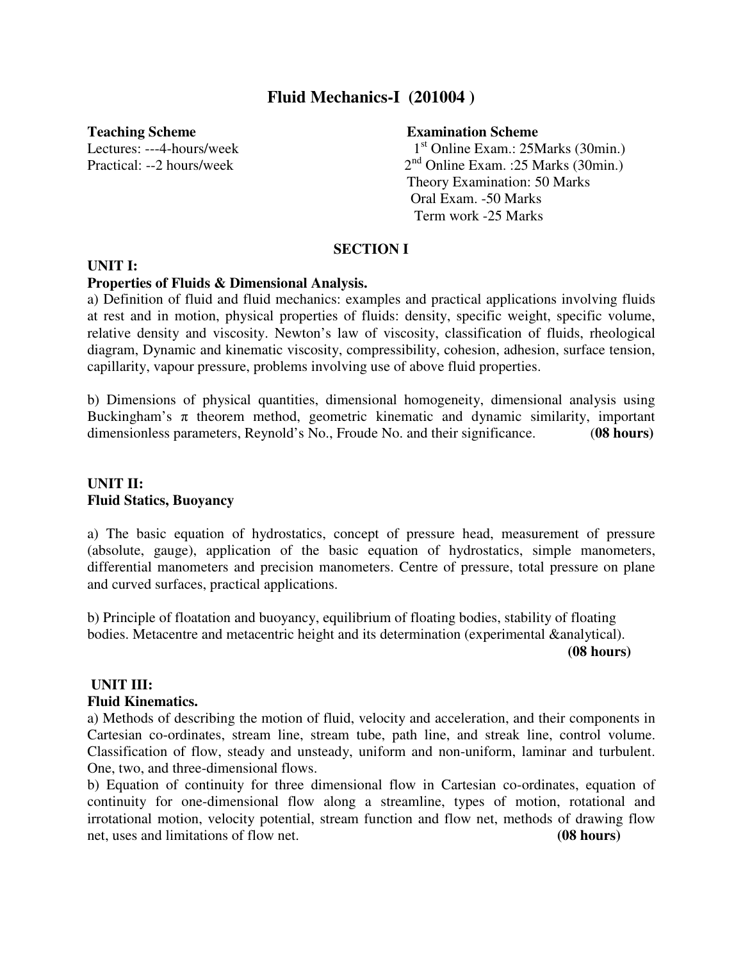# **Fluid Mechanics-I (201004 )**

Lectures: ---4-hours/week

#### **Teaching Scheme Examination Scheme**

1<sup>st</sup> Online Exam.: 25Marks (30min.) Practical:  $-2$  hours/week  $2<sup>nd</sup>$  Online Exam. :25 Marks (30min.) Theory Examination: 50 Marks Oral Exam. -50 Marks Term work -25 Marks

#### **SECTION I**

#### **UNIT I:**

#### **Properties of Fluids & Dimensional Analysis.**

a) Definition of fluid and fluid mechanics: examples and practical applications involving fluids at rest and in motion, physical properties of fluids: density, specific weight, specific volume, relative density and viscosity. Newton's law of viscosity, classification of fluids, rheological diagram, Dynamic and kinematic viscosity, compressibility, cohesion, adhesion, surface tension, capillarity, vapour pressure, problems involving use of above fluid properties.

b) Dimensions of physical quantities, dimensional homogeneity, dimensional analysis using Buckingham's  $\pi$  theorem method, geometric kinematic and dynamic similarity, important dimensionless parameters, Reynold's No., Froude No. and their significance. (**08 hours)**

#### **UNIT II: Fluid Statics, Buoyancy**

a) The basic equation of hydrostatics, concept of pressure head, measurement of pressure (absolute, gauge), application of the basic equation of hydrostatics, simple manometers, differential manometers and precision manometers. Centre of pressure, total pressure on plane and curved surfaces, practical applications.

b) Principle of floatation and buoyancy, equilibrium of floating bodies, stability of floating bodies. Metacentre and metacentric height and its determination (experimental &analytical).

**(08 hours)** 

#### **UNIT III:**

#### **Fluid Kinematics.**

a) Methods of describing the motion of fluid, velocity and acceleration, and their components in Cartesian co-ordinates, stream line, stream tube, path line, and streak line, control volume. Classification of flow, steady and unsteady, uniform and non-uniform, laminar and turbulent. One, two, and three-dimensional flows.

b) Equation of continuity for three dimensional flow in Cartesian co-ordinates, equation of continuity for one-dimensional flow along a streamline, types of motion, rotational and irrotational motion, velocity potential, stream function and flow net, methods of drawing flow net, uses and limitations of flow net. **(08 hours)**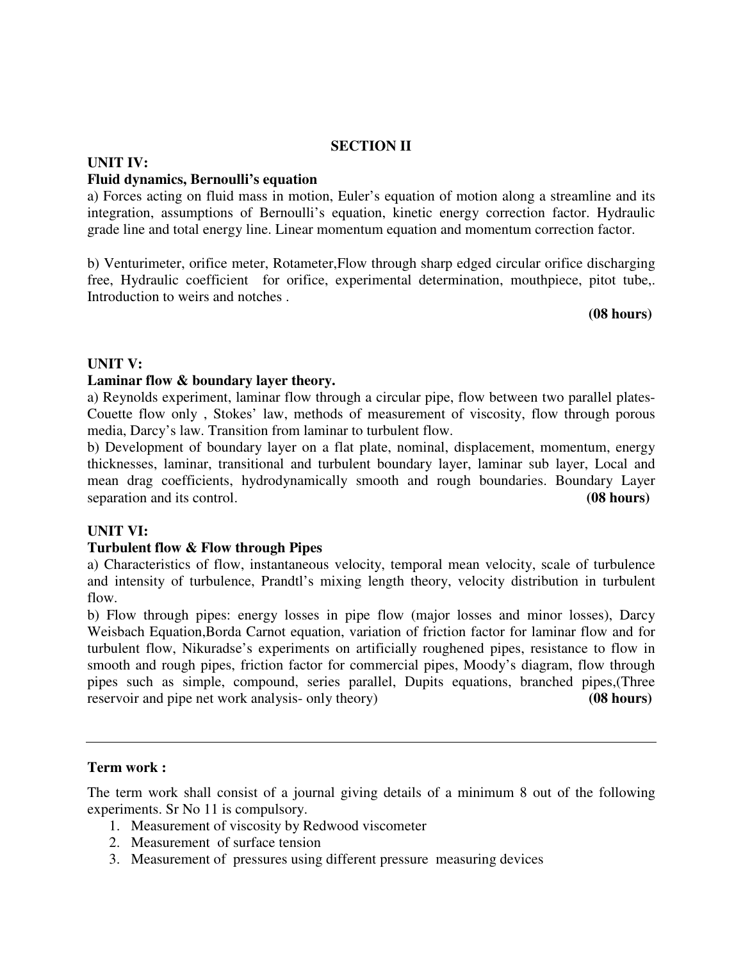#### **SECTION II**

#### **UNIT IV:**

#### **Fluid dynamics, Bernoulli's equation**

a) Forces acting on fluid mass in motion, Euler's equation of motion along a streamline and its integration, assumptions of Bernoulli's equation, kinetic energy correction factor. Hydraulic grade line and total energy line. Linear momentum equation and momentum correction factor.

b) Venturimeter, orifice meter, Rotameter,Flow through sharp edged circular orifice discharging free, Hydraulic coefficient for orifice, experimental determination, mouthpiece, pitot tube,. Introduction to weirs and notches .

#### **(08 hours)**

#### **UNIT V:**

#### **Laminar flow & boundary layer theory.**

a) Reynolds experiment, laminar flow through a circular pipe, flow between two parallel plates-Couette flow only , Stokes' law, methods of measurement of viscosity, flow through porous media, Darcy's law. Transition from laminar to turbulent flow.

b) Development of boundary layer on a flat plate, nominal, displacement, momentum, energy thicknesses, laminar, transitional and turbulent boundary layer, laminar sub layer, Local and mean drag coefficients, hydrodynamically smooth and rough boundaries. Boundary Layer separation and its control. **(08 hours) (08 hours)** 

#### **UNIT VI:**

#### **Turbulent flow & Flow through Pipes**

a) Characteristics of flow, instantaneous velocity, temporal mean velocity, scale of turbulence and intensity of turbulence, Prandtl's mixing length theory, velocity distribution in turbulent flow.

b) Flow through pipes: energy losses in pipe flow (major losses and minor losses), Darcy Weisbach Equation,Borda Carnot equation, variation of friction factor for laminar flow and for turbulent flow, Nikuradse's experiments on artificially roughened pipes, resistance to flow in smooth and rough pipes, friction factor for commercial pipes, Moody's diagram, flow through pipes such as simple, compound, series parallel, Dupits equations, branched pipes,(Three reservoir and pipe net work analysis- only theory) **(08 hours)** 

#### **Term work :**

The term work shall consist of a journal giving details of a minimum 8 out of the following experiments. Sr No 11 is compulsory.

- 1. Measurement of viscosity by Redwood viscometer
- 2. Measurement of surface tension
- 3. Measurement of pressures using different pressure measuring devices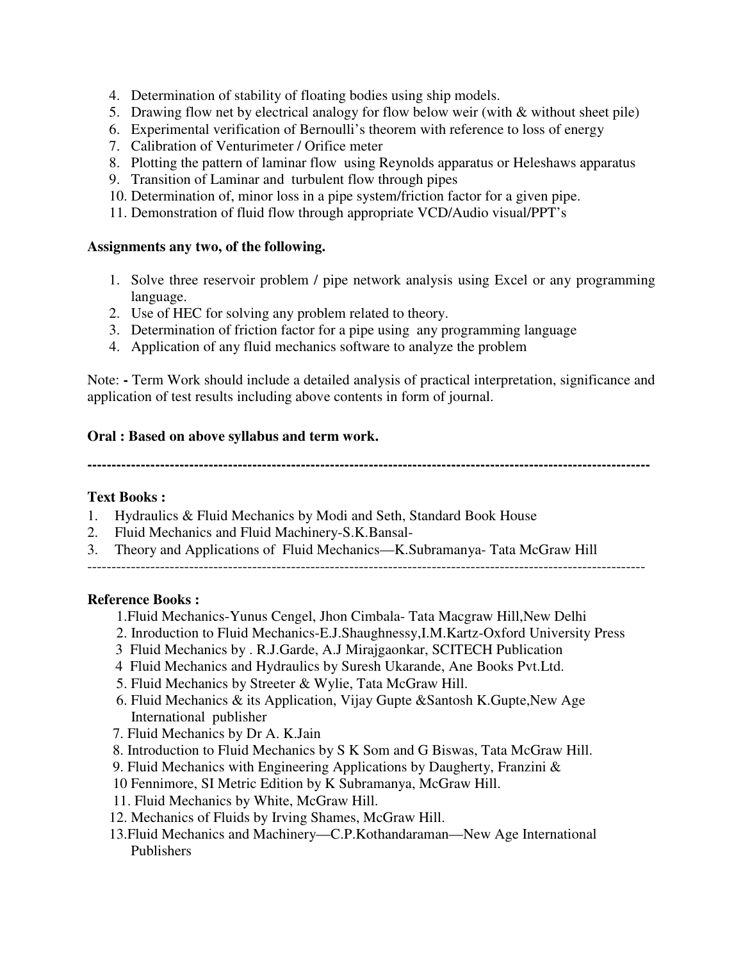- 4. Determination of stability of floating bodies using ship models.
- 5. Drawing flow net by electrical analogy for flow below weir (with & without sheet pile)
- 6. Experimental verification of Bernoulli's theorem with reference to loss of energy
- 7. Calibration of Venturimeter / Orifice meter
- 8. Plotting the pattern of laminar flow using Reynolds apparatus or Heleshaws apparatus
- 9. Transition of Laminar and turbulent flow through pipes
- 10. Determination of, minor loss in a pipe system/friction factor for a given pipe.
- 11. Demonstration of fluid flow through appropriate VCD/Audio visual/PPT's

#### **Assignments any two, of the following.**

- 1. Solve three reservoir problem / pipe network analysis using Excel or any programming language.
- 2. Use of HEC for solving any problem related to theory.
- 3. Determination of friction factor for a pipe using any programming language
- 4. Application of any fluid mechanics software to analyze the problem

Note: **-** Term Work should include a detailed analysis of practical interpretation, significance and application of test results including above contents in form of journal.

#### **Oral : Based on above syllabus and term work.**

**--------------------------------------------------------------------------------------------------------------------** 

#### **Text Books :**

- 1. Hydraulics & Fluid Mechanics by Modi and Seth, Standard Book House
- 2. Fluid Mechanics and Fluid Machinery-S.K.Bansal-
- 3. Theory and Applications of Fluid Mechanics—K.Subramanya- Tata McGraw Hill
- -------------------------------------------------------------------------------------------------------------------

#### **Reference Books :**

- 1.Fluid Mechanics-Yunus Cengel, Jhon Cimbala- Tata Macgraw Hill,New Delhi
- 2. Inroduction to Fluid Mechanics-E.J.Shaughnessy,I.M.Kartz-Oxford University Press
- 3 Fluid Mechanics by . R.J.Garde, A.J Mirajgaonkar, SCITECH Publication
- 4 Fluid Mechanics and Hydraulics by Suresh Ukarande, Ane Books Pvt.Ltd.
- 5. Fluid Mechanics by Streeter & Wylie, Tata McGraw Hill.
- 6. Fluid Mechanics & its Application, Vijay Gupte &Santosh K.Gupte,New Age International publisher
- 7. Fluid Mechanics by Dr A. K.Jain
- 8. Introduction to Fluid Mechanics by S K Som and G Biswas, Tata McGraw Hill.
- 9. Fluid Mechanics with Engineering Applications by Daugherty, Franzini &
- 10 Fennimore, SI Metric Edition by K Subramanya, McGraw Hill.
- 11. Fluid Mechanics by White, McGraw Hill.
- 12. Mechanics of Fluids by Irving Shames, McGraw Hill.
- 13.Fluid Mechanics and Machinery—C.P.Kothandaraman—New Age International Publishers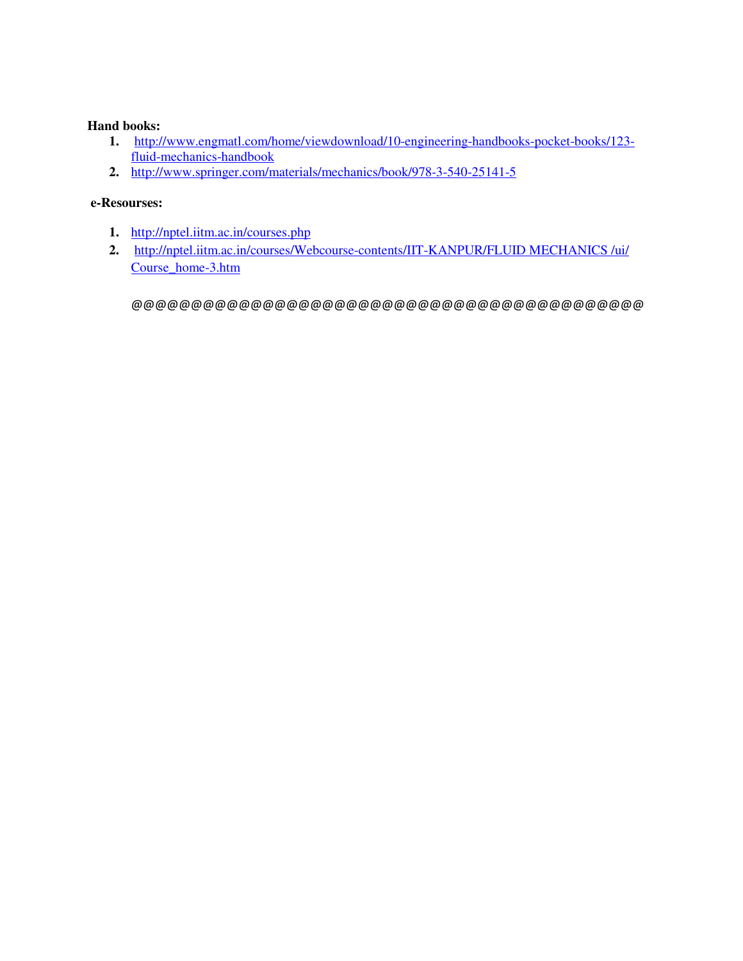#### **Hand books:**

- **1.** http://www.engmatl.com/home/viewdownload/10-engineering-handbooks-pocket-books/123 fluid-mechanics-handbook
- **2.** http://www.springer.com/materials/mechanics/book/978-3-540-25141-5

#### **e-Resourses:**

- **1.** http://nptel.iitm.ac.in/courses.php
- **2.** http://nptel.iitm.ac.in/courses/Webcourse-contents/IIT-KANPUR/FLUID MECHANICS /ui/ Course home-3.htm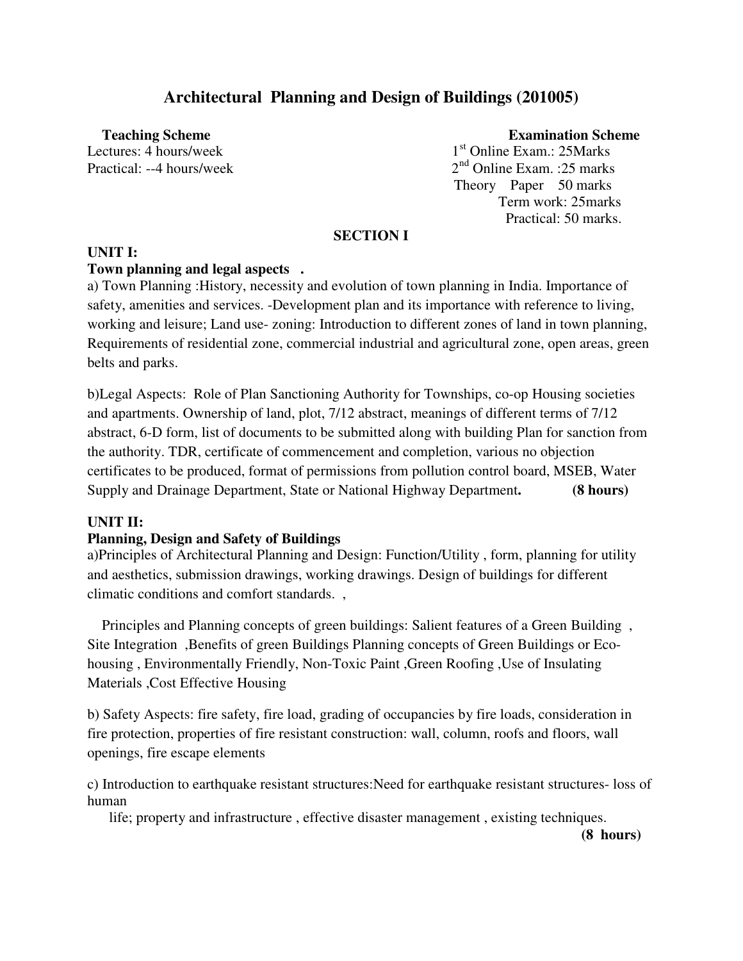# **Architectural Planning and Design of Buildings (201005)**

#### **Teaching Scheme Examination Scheme**

Lectures: 4 hours/week  $1<sup>st</sup>$  Online Exam.: 25Marks Practical:  $-4$  hours/week 2<sup>nd</sup> Online Exam. :25 marks Theory Paper 50 marks Term work: 25marks Practical: 50 marks.

## **SECTION I**

#### **UNIT I:**

#### **Town planning and legal aspects .**

a) Town Planning :History, necessity and evolution of town planning in India. Importance of safety, amenities and services. -Development plan and its importance with reference to living, working and leisure; Land use- zoning: Introduction to different zones of land in town planning, Requirements of residential zone, commercial industrial and agricultural zone, open areas, green belts and parks.

b)Legal Aspects: Role of Plan Sanctioning Authority for Townships, co-op Housing societies and apartments. Ownership of land, plot, 7/12 abstract, meanings of different terms of 7/12 abstract, 6-D form, list of documents to be submitted along with building Plan for sanction from the authority. TDR, certificate of commencement and completion, various no objection certificates to be produced, format of permissions from pollution control board, MSEB, Water Supply and Drainage Department, State or National Highway Department**. (8 hours)** 

#### **UNIT II:**

#### **Planning, Design and Safety of Buildings**

a)Principles of Architectural Planning and Design: Function/Utility , form, planning for utility and aesthetics, submission drawings, working drawings. Design of buildings for different climatic conditions and comfort standards. ,

 Principles and Planning concepts of green buildings: Salient features of a Green Building , Site Integration ,Benefits of green Buildings Planning concepts of Green Buildings or Ecohousing , Environmentally Friendly, Non-Toxic Paint ,Green Roofing ,Use of Insulating Materials ,Cost Effective Housing

b) Safety Aspects: fire safety, fire load, grading of occupancies by fire loads, consideration in fire protection, properties of fire resistant construction: wall, column, roofs and floors, wall openings, fire escape elements

c) Introduction to earthquake resistant structures:Need for earthquake resistant structures- loss of human

life; property and infrastructure , effective disaster management , existing techniques.

 **(8 hours)**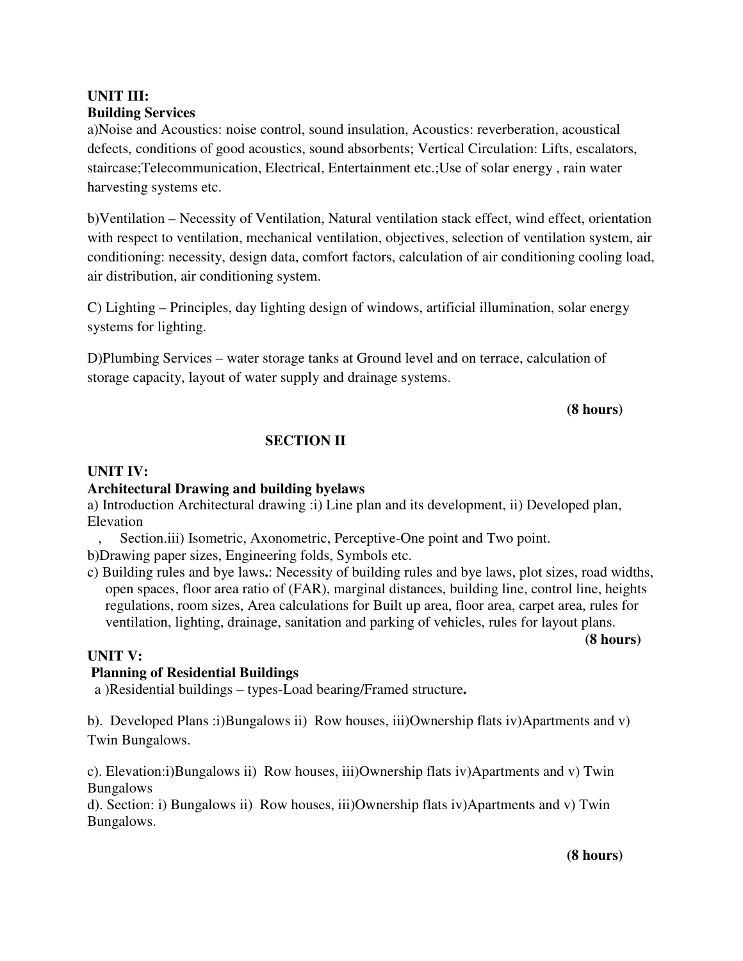## **UNIT III: Building Services**

a)Noise and Acoustics: noise control, sound insulation, Acoustics: reverberation, acoustical defects, conditions of good acoustics, sound absorbents; Vertical Circulation: Lifts, escalators, staircase;Telecommunication, Electrical, Entertainment etc.;Use of solar energy , rain water harvesting systems etc.

b)Ventilation – Necessity of Ventilation, Natural ventilation stack effect, wind effect, orientation with respect to ventilation, mechanical ventilation, objectives, selection of ventilation system, air conditioning: necessity, design data, comfort factors, calculation of air conditioning cooling load, air distribution, air conditioning system.

C) Lighting – Principles, day lighting design of windows, artificial illumination, solar energy systems for lighting.

D)Plumbing Services – water storage tanks at Ground level and on terrace, calculation of storage capacity, layout of water supply and drainage systems.

 **(8 hours)** 

# **SECTION II**

## **UNIT IV:**

## **Architectural Drawing and building byelaws**

a) Introduction Architectural drawing :i) Line plan and its development, ii) Developed plan, Elevation

Section.iii) Isometric, Axonometric, Perceptive-One point and Two point. b)Drawing paper sizes, Engineering folds, Symbols etc.

c) Building rules and bye laws**.**: Necessity of building rules and bye laws, plot sizes, road widths, open spaces, floor area ratio of (FAR), marginal distances, building line, control line, heights regulations, room sizes, Area calculations for Built up area, floor area, carpet area, rules for ventilation, lighting, drainage, sanitation and parking of vehicles, rules for layout plans.

 **(8 hours)** 

## **UNIT V:**

## **Planning of Residential Buildings**

a )Residential buildings – types-Load bearing/Framed structure**.** 

b). Developed Plans :i)Bungalows ii) Row houses, iii)Ownership flats iv)Apartments and v) Twin Bungalows.

c). Elevation:i)Bungalows ii) Row houses, iii)Ownership flats iv)Apartments and v) Twin Bungalows

d). Section: i) Bungalows ii) Row houses, iii)Ownership flats iv)Apartments and v) Twin Bungalows.

 **(8 hours)**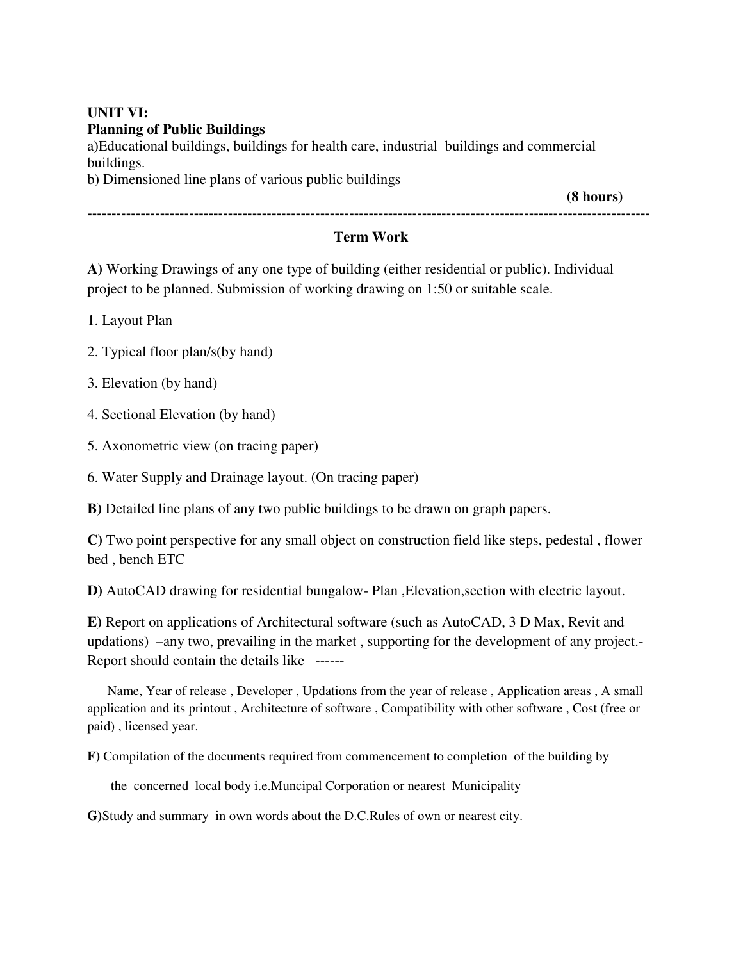# **UNIT VI: Planning of Public Buildings**

a)Educational buildings, buildings for health care, industrial buildings and commercial buildings. b) Dimensioned line plans of various public buildings

 **(8 hours) --------------------------------------------------------------------------------------------------------------------** 

#### **Term Work**

**A)** Working Drawings of any one type of building (either residential or public). Individual project to be planned. Submission of working drawing on 1:50 or suitable scale.

1. Layout Plan

- 2. Typical floor plan/s(by hand)
- 3. Elevation (by hand)
- 4. Sectional Elevation (by hand)

5. Axonometric view (on tracing paper)

6. Water Supply and Drainage layout. (On tracing paper)

**B)** Detailed line plans of any two public buildings to be drawn on graph papers.

**C)** Two point perspective for any small object on construction field like steps, pedestal , flower bed , bench ETC

**D)** AutoCAD drawing for residential bungalow- Plan ,Elevation,section with electric layout.

**E)** Report on applications of Architectural software (such as AutoCAD, 3 D Max, Revit and updations) –any two, prevailing in the market , supporting for the development of any project.- Report should contain the details like ------

 Name, Year of release , Developer , Updations from the year of release , Application areas , A small application and its printout , Architecture of software , Compatibility with other software , Cost (free or paid) , licensed year.

**F)** Compilation of the documents required from commencement to completion of the building by

the concerned local body i.e.Muncipal Corporation or nearest Municipality

**G)**Study and summary in own words about the D.C.Rules of own or nearest city.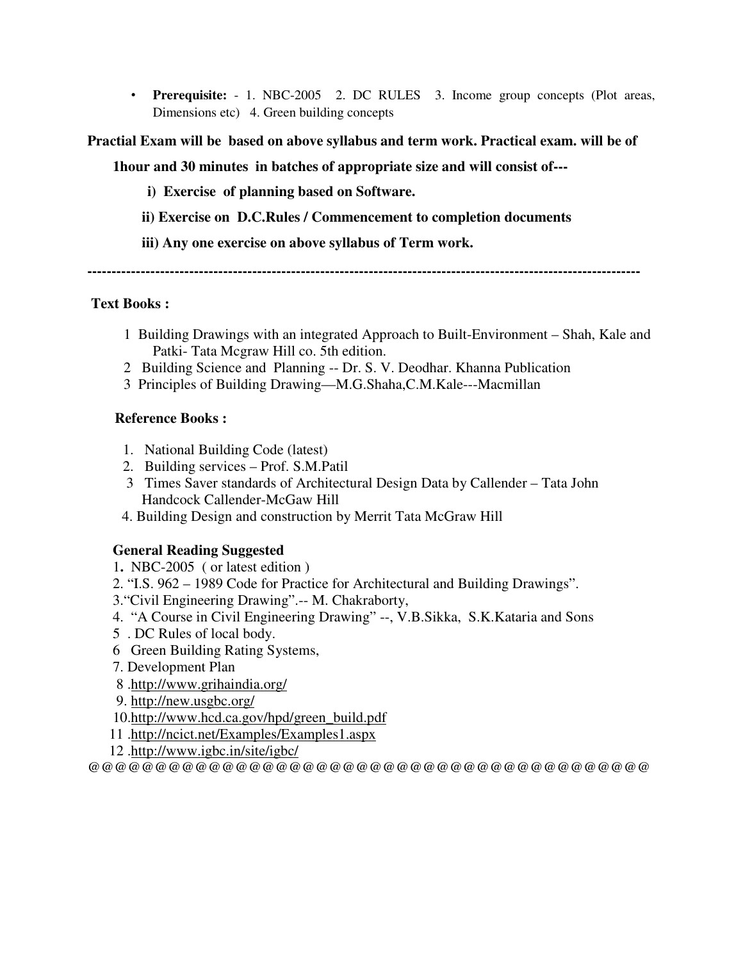• **Prerequisite:** - 1. NBC-2005 2. DC RULES 3. Income group concepts (Plot areas, Dimensions etc) 4. Green building concepts

## **Practial Exam will be based on above syllabus and term work. Practical exam. will be of**

## **1hour and 30 minutes in batches of appropriate size and will consist of---**

 **i) Exercise of planning based on Software.** 

 **ii) Exercise on D.C.Rules / Commencement to completion documents** 

 **iii) Any one exercise on above syllabus of Term work.** 

**------------------------------------------------------------------------------------------------------------------**

## **Text Books :**

- 1 Building Drawings with an integrated Approach to Built-Environment Shah, Kale and Patki- Tata Mcgraw Hill co. 5th edition.
- 2 Building Science and Planning -- Dr. S. V. Deodhar. Khanna Publication
- 3 Principles of Building Drawing—M.G.Shaha,C.M.Kale---Macmillan

## **Reference Books :**

- 1. National Building Code (latest)
- 2. Building services Prof. S.M.Patil
- 3 Times Saver standards of Architectural Design Data by Callender Tata John Handcock Callender-McGaw Hill
- 4. Building Design and construction by Merrit Tata McGraw Hill

## **General Reading Suggested**

- 1**.** NBC-2005 ( or latest edition )
- 2. "I.S. 962 1989 Code for Practice for Architectural and Building Drawings".
- 3."Civil Engineering Drawing".-- M. Chakraborty,
- 4. "A Course in Civil Engineering Drawing" --, V.B.Sikka, S.K.Kataria and Sons
- 5 . DC Rules of local body.
- 6 Green Building Rating Systems,
- 7. Development Plan
- 8 .http://www.grihaindia.org/
- 9. http://new.usgbc.org/
- 10.http://www.hcd.ca.gov/hpd/green\_build.pdf
- 11 .http://ncict.net/Examples/Examples1.aspx
- 12 .http://www.igbc.in/site/igbc/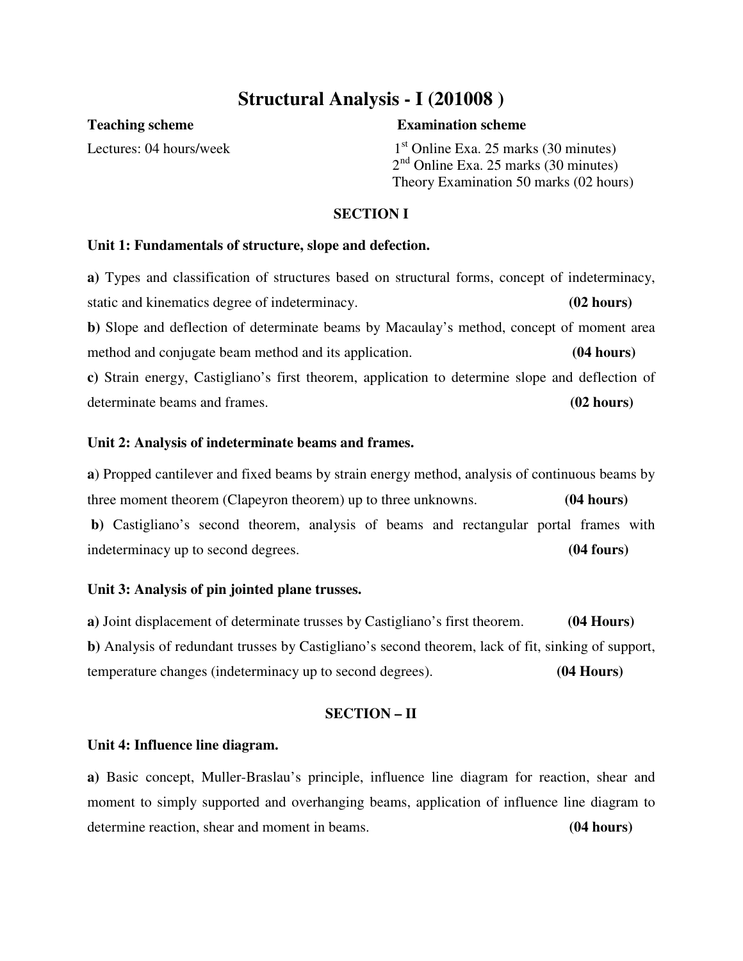# **Structural Analysis - I (201008 )**

**Teaching scheme Examination scheme**

Lectures: 04 hours/week  $1<sup>st</sup>$  Online Exa. 25 marks (30 minutes)  $2<sup>nd</sup>$  Online Exa. 25 marks (30 minutes) Theory Examination 50 marks (02 hours)

#### **SECTION I**

#### **Unit 1: Fundamentals of structure, slope and defection.**

**a)** Types and classification of structures based on structural forms, concept of indeterminacy, static and kinematics degree of indeterminacy. **(02 hours) b)** Slope and deflection of determinate beams by Macaulay's method, concept of moment area method and conjugate beam method and its application. **(04 hours) (04 hours) c)** Strain energy, Castigliano's first theorem, application to determine slope and deflection of determinate beams and frames. **(02 hours)**

#### **Unit 2: Analysis of indeterminate beams and frames.**

**a**) Propped cantilever and fixed beams by strain energy method, analysis of continuous beams by three moment theorem (Clapeyron theorem) up to three unknowns. **(04 hours) b)** Castigliano's second theorem, analysis of beams and rectangular portal frames with indeterminacy up to second degrees. **(04 fours)**

#### **Unit 3: Analysis of pin jointed plane trusses.**

**a)** Joint displacement of determinate trusses by Castigliano's first theorem. **(04 Hours) b)** Analysis of redundant trusses by Castigliano's second theorem, lack of fit, sinking of support, temperature changes (indeterminacy up to second degrees). **(04 Hours)**

#### **SECTION – II**

#### **Unit 4: Influence line diagram.**

**a)** Basic concept, Muller-Braslau's principle, influence line diagram for reaction, shear and moment to simply supported and overhanging beams, application of influence line diagram to determine reaction, shear and moment in beams. **(04 hours)**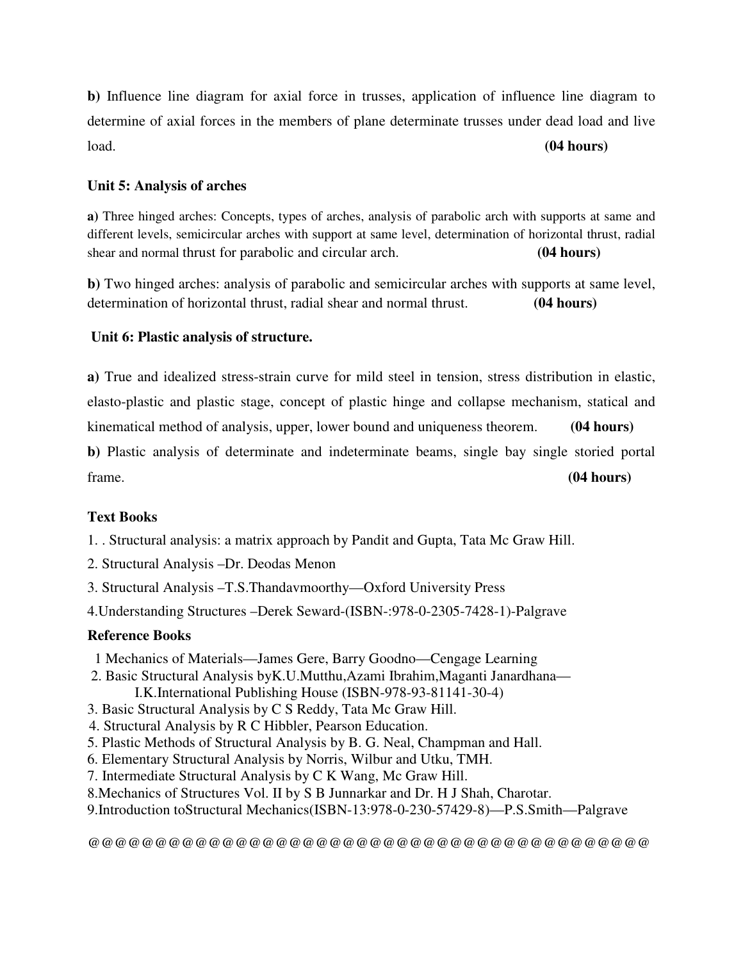**b)** Influence line diagram for axial force in trusses, application of influence line diagram to determine of axial forces in the members of plane determinate trusses under dead load and live load. **(04 hours)**

## **Unit 5: Analysis of arches**

**a)** Three hinged arches: Concepts, types of arches, analysis of parabolic arch with supports at same and different levels, semicircular arches with support at same level, determination of horizontal thrust, radial shear and normal thrust for parabolic and circular arch. **(04 hours)**

**b)** Two hinged arches: analysis of parabolic and semicircular arches with supports at same level, determination of horizontal thrust, radial shear and normal thrust. **(04 hours)**

## **Unit 6: Plastic analysis of structure.**

**a)** True and idealized stress-strain curve for mild steel in tension, stress distribution in elastic, elasto-plastic and plastic stage, concept of plastic hinge and collapse mechanism, statical and kinematical method of analysis, upper, lower bound and uniqueness theorem. **(04 hours)**

**b)** Plastic analysis of determinate and indeterminate beams, single bay single storied portal frame. **(04 hours)**

## **Text Books**

1. . Structural analysis: a matrix approach by Pandit and Gupta, Tata Mc Graw Hill.

- 2. Structural Analysis –Dr. Deodas Menon
- 3. Structural Analysis –T.S.Thandavmoorthy—Oxford University Press
- 4.Understanding Structures –Derek Seward-(ISBN-:978-0-2305-7428-1)-Palgrave

#### **Reference Books**

- 1 Mechanics of Materials—James Gere, Barry Goodno—Cengage Learning
- 2. Basic Structural Analysis byK.U.Mutthu,Azami Ibrahim,Maganti Janardhana— I.K.International Publishing House (ISBN-978-93-81141-30-4)
- 3. Basic Structural Analysis by C S Reddy, Tata Mc Graw Hill.
- 4. Structural Analysis by R C Hibbler, Pearson Education.
- 5. Plastic Methods of Structural Analysis by B. G. Neal, Champman and Hall.
- 6. Elementary Structural Analysis by Norris, Wilbur and Utku, TMH.
- 7. Intermediate Structural Analysis by C K Wang, Mc Graw Hill.
- 8.Mechanics of Structures Vol. II by S B Junnarkar and Dr. H J Shah, Charotar.
- 9.Introduction toStructural Mechanics(ISBN-13:978-0-230-57429-8)—P.S.Smith—Palgrave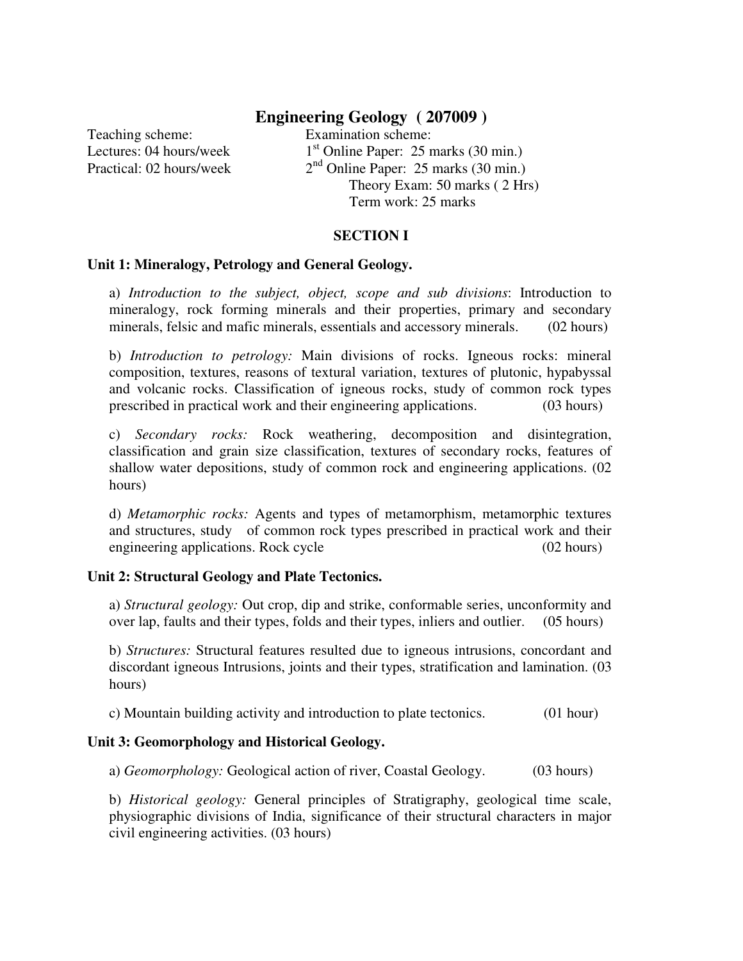## **Engineering Geology ( 207009 )**

Teaching scheme: Examination scheme: Lectures: 04 hours/week  $1<sup>st</sup>$  Online Paper: 25 marks (30 min.) Practical: 02 hours/week  $2<sup>nd</sup>$  Online Paper: 25 marks (30 min.) Theory Exam: 50 marks ( 2 Hrs) Term work: 25 marks

#### **SECTION I**

#### **Unit 1: Mineralogy, Petrology and General Geology.**

a) *Introduction to the subject, object, scope and sub divisions*: Introduction to mineralogy, rock forming minerals and their properties, primary and secondary minerals, felsic and mafic minerals, essentials and accessory minerals. (02 hours)

b) *Introduction to petrology:* Main divisions of rocks. Igneous rocks: mineral composition, textures, reasons of textural variation, textures of plutonic, hypabyssal and volcanic rocks. Classification of igneous rocks, study of common rock types prescribed in practical work and their engineering applications. (03 hours)

c) *Secondary rocks:* Rock weathering, decomposition and disintegration, classification and grain size classification, textures of secondary rocks, features of shallow water depositions, study of common rock and engineering applications. (02 hours)

d) *Metamorphic rocks:* Agents and types of metamorphism, metamorphic textures and structures, study of common rock types prescribed in practical work and their engineering applications. Rock cycle (02 hours)

#### **Unit 2: Structural Geology and Plate Tectonics.**

a) *Structural geology:* Out crop, dip and strike, conformable series, unconformity and over lap, faults and their types, folds and their types, inliers and outlier. (05 hours)

b) *Structures:* Structural features resulted due to igneous intrusions, concordant and discordant igneous Intrusions, joints and their types, stratification and lamination. (03 hours)

c) Mountain building activity and introduction to plate tectonics. (01 hour)

#### **Unit 3: Geomorphology and Historical Geology.**

a) *Geomorphology:* Geological action of river, Coastal Geology. (03 hours)

b) *Historical geology:* General principles of Stratigraphy, geological time scale, physiographic divisions of India, significance of their structural characters in major civil engineering activities. (03 hours)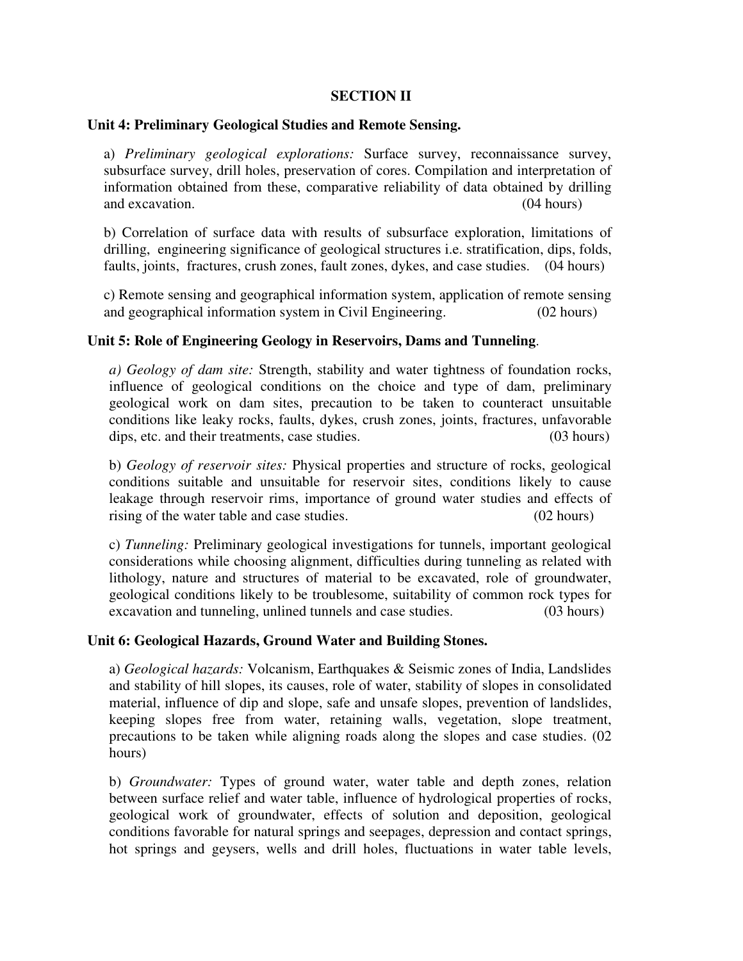#### **SECTION II**

#### **Unit 4: Preliminary Geological Studies and Remote Sensing.**

a) *Preliminary geological explorations:* Surface survey, reconnaissance survey, subsurface survey, drill holes, preservation of cores. Compilation and interpretation of information obtained from these, comparative reliability of data obtained by drilling and excavation. (04 hours) and excavation.

b) Correlation of surface data with results of subsurface exploration, limitations of drilling, engineering significance of geological structures i.e. stratification, dips, folds, faults, joints, fractures, crush zones, fault zones, dykes, and case studies. (04 hours)

c) Remote sensing and geographical information system, application of remote sensing and geographical information system in Civil Engineering. (02 hours)

#### **Unit 5: Role of Engineering Geology in Reservoirs, Dams and Tunneling**.

*a) Geology of dam site:* Strength, stability and water tightness of foundation rocks, influence of geological conditions on the choice and type of dam, preliminary geological work on dam sites, precaution to be taken to counteract unsuitable conditions like leaky rocks, faults, dykes, crush zones, joints, fractures, unfavorable dips, etc. and their treatments, case studies. (03 hours)

b) *Geology of reservoir sites:* Physical properties and structure of rocks, geological conditions suitable and unsuitable for reservoir sites, conditions likely to cause leakage through reservoir rims, importance of ground water studies and effects of rising of the water table and case studies. (02 hours)

c) *Tunneling:* Preliminary geological investigations for tunnels, important geological considerations while choosing alignment, difficulties during tunneling as related with lithology, nature and structures of material to be excavated, role of groundwater, geological conditions likely to be troublesome, suitability of common rock types for excavation and tunneling, unlined tunnels and case studies. (03 hours)

#### **Unit 6: Geological Hazards, Ground Water and Building Stones.**

a) *Geological hazards:* Volcanism, Earthquakes & Seismic zones of India, Landslides and stability of hill slopes, its causes, role of water, stability of slopes in consolidated material, influence of dip and slope, safe and unsafe slopes, prevention of landslides, keeping slopes free from water, retaining walls, vegetation, slope treatment, precautions to be taken while aligning roads along the slopes and case studies. (02 hours)

b) *Groundwater:* Types of ground water, water table and depth zones, relation between surface relief and water table, influence of hydrological properties of rocks, geological work of groundwater, effects of solution and deposition, geological conditions favorable for natural springs and seepages, depression and contact springs, hot springs and geysers, wells and drill holes, fluctuations in water table levels,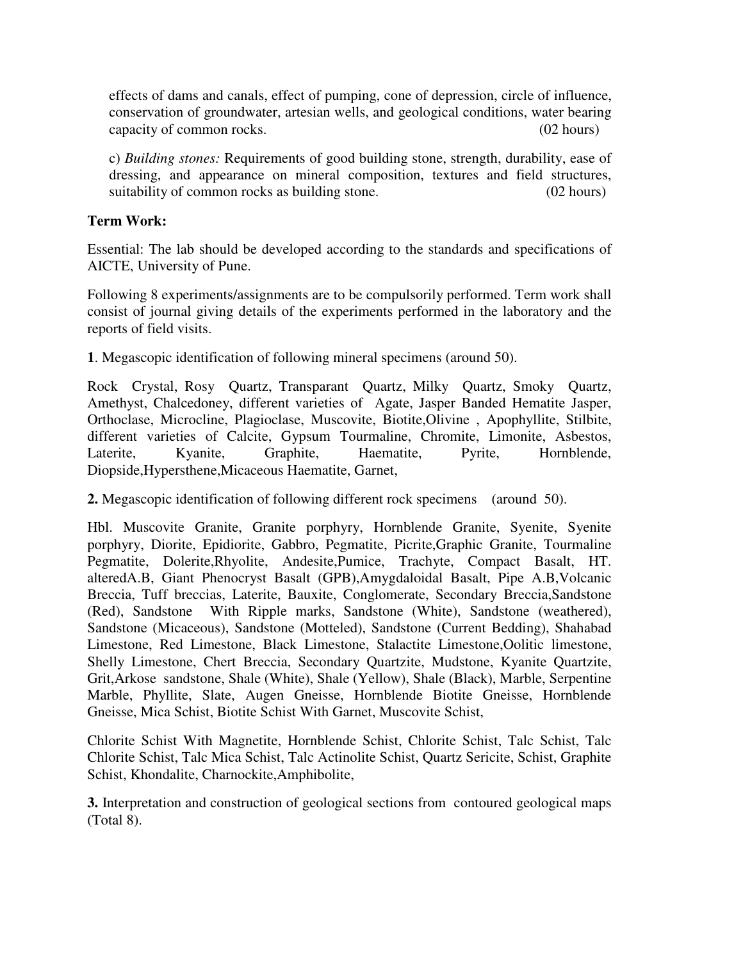effects of dams and canals, effect of pumping, cone of depression, circle of influence, conservation of groundwater, artesian wells, and geological conditions, water bearing capacity of common rocks. (02 hours)

c) *Building stones:* Requirements of good building stone, strength, durability, ease of dressing, and appearance on mineral composition, textures and field structures, suitability of common rocks as building stone. (02 hours)

#### **Term Work:**

Essential: The lab should be developed according to the standards and specifications of AICTE, University of Pune.

Following 8 experiments/assignments are to be compulsorily performed. Term work shall consist of journal giving details of the experiments performed in the laboratory and the reports of field visits.

**1**. Megascopic identification of following mineral specimens (around 50).

Rock Crystal, Rosy Quartz, Transparant Quartz, Milky Quartz, Smoky Quartz, Amethyst, Chalcedoney, different varieties of Agate, Jasper Banded Hematite Jasper, Orthoclase, Microcline, Plagioclase, Muscovite, Biotite,Olivine , Apophyllite, Stilbite, different varieties of Calcite, Gypsum Tourmaline, Chromite, Limonite, Asbestos, Laterite, Kyanite, Graphite, Haematite, Pyrite, Hornblende, Diopside,Hypersthene,Micaceous Haematite, Garnet,

**2.** Megascopic identification of following different rock specimens (around 50).

Hbl. Muscovite Granite, Granite porphyry, Hornblende Granite, Syenite, Syenite porphyry, Diorite, Epidiorite, Gabbro, Pegmatite, Picrite,Graphic Granite, Tourmaline Pegmatite, Dolerite,Rhyolite, Andesite,Pumice, Trachyte, Compact Basalt, HT. alteredA.B, Giant Phenocryst Basalt (GPB),Amygdaloidal Basalt, Pipe A.B,Volcanic Breccia, Tuff breccias, Laterite, Bauxite, Conglomerate, Secondary Breccia,Sandstone (Red), Sandstone With Ripple marks, Sandstone (White), Sandstone (weathered), Sandstone (Micaceous), Sandstone (Motteled), Sandstone (Current Bedding), Shahabad Limestone, Red Limestone, Black Limestone, Stalactite Limestone, Oolitic limestone, Shelly Limestone, Chert Breccia, Secondary Quartzite, Mudstone, Kyanite Quartzite, Grit,Arkose sandstone, Shale (White), Shale (Yellow), Shale (Black), Marble, Serpentine Marble, Phyllite, Slate, Augen Gneisse, Hornblende Biotite Gneisse, Hornblende Gneisse, Mica Schist, Biotite Schist With Garnet, Muscovite Schist,

Chlorite Schist With Magnetite, Hornblende Schist, Chlorite Schist, Talc Schist, Talc Chlorite Schist, Talc Mica Schist, Talc Actinolite Schist, Quartz Sericite, Schist, Graphite Schist, Khondalite, Charnockite,Amphibolite,

**3.** Interpretation and construction of geological sections from contoured geological maps (Total 8).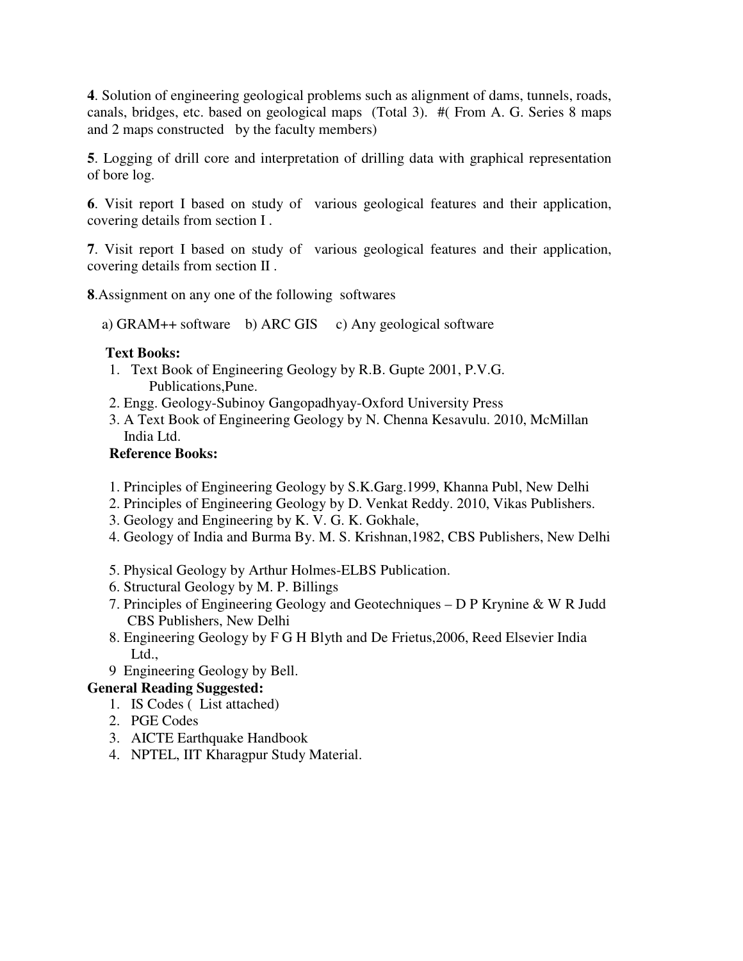**4**. Solution of engineering geological problems such as alignment of dams, tunnels, roads, canals, bridges, etc. based on geological maps (Total 3). #( From A. G. Series 8 maps and 2 maps constructed by the faculty members)

**5**. Logging of drill core and interpretation of drilling data with graphical representation of bore log.

**6**. Visit report I based on study of various geological features and their application, covering details from section I .

**7**. Visit report I based on study of various geological features and their application, covering details from section II .

**8**.Assignment on any one of the following softwares

a) GRAM++ software b) ARC GIS c) Any geological software

## **Text Books:**

- 1. Text Book of Engineering Geology by R.B. Gupte 2001, P.V.G. Publications,Pune.
- 2. Engg. Geology-Subinoy Gangopadhyay-Oxford University Press
- 3. A Text Book of Engineering Geology by N. Chenna Kesavulu. 2010, McMillan India Ltd.

## **Reference Books:**

- 1. Principles of Engineering Geology by S.K.Garg.1999, Khanna Publ, New Delhi
- 2. Principles of Engineering Geology by D. Venkat Reddy. 2010, Vikas Publishers.
- 3. Geology and Engineering by K. V. G. K. Gokhale,
- 4. Geology of India and Burma By. M. S. Krishnan,1982, CBS Publishers, New Delhi
- 5. Physical Geology by Arthur Holmes-ELBS Publication.
- 6. Structural Geology by M. P. Billings
- 7. Principles of Engineering Geology and Geotechniques D P Krynine & W R Judd CBS Publishers, New Delhi
- 8. Engineering Geology by F G H Blyth and De Frietus,2006, Reed Elsevier India Ltd.,
- 9 Engineering Geology by Bell.

## **General Reading Suggested:**

- 1. IS Codes ( List attached)
- 2. PGE Codes
- 3. AICTE Earthquake Handbook
- 4. NPTEL, IIT Kharagpur Study Material.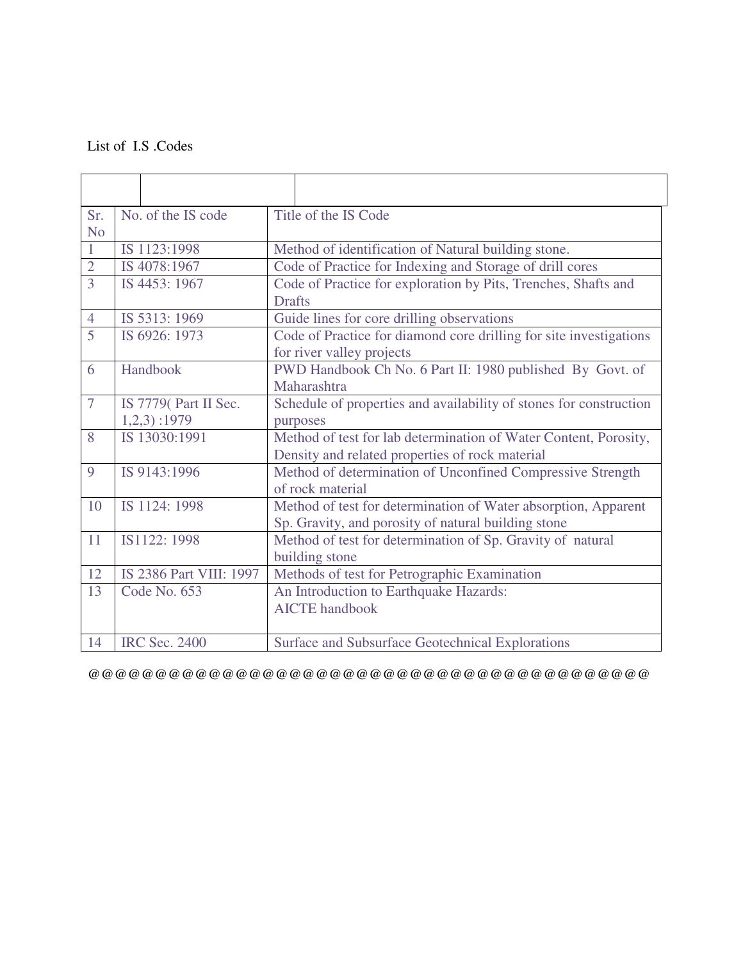## List of I.S .Codes

| Sr.<br>N <sub>o</sub> | No. of the IS code                     | Title of the IS Code                                                                                                  |
|-----------------------|----------------------------------------|-----------------------------------------------------------------------------------------------------------------------|
| $\mathbf{1}$          | IS 1123:1998                           | Method of identification of Natural building stone.                                                                   |
| $\overline{2}$        | IS 4078:1967                           | Code of Practice for Indexing and Storage of drill cores                                                              |
| $\overline{3}$        | IS 4453: 1967                          | Code of Practice for exploration by Pits, Trenches, Shafts and<br><b>Drafts</b>                                       |
| $\overline{4}$        | IS 5313: 1969                          | Guide lines for core drilling observations                                                                            |
| $\overline{5}$        | IS 6926: 1973                          | Code of Practice for diamond core drilling for site investigations<br>for river valley projects                       |
| 6                     | Handbook                               | PWD Handbook Ch No. 6 Part II: 1980 published By Govt. of<br>Maharashtra                                              |
| $\overline{7}$        | IS 7779(Part II Sec.<br>$1,2,3$ : 1979 | Schedule of properties and availability of stones for construction<br>purposes                                        |
| 8                     | IS 13030:1991                          | Method of test for lab determination of Water Content, Porosity,<br>Density and related properties of rock material   |
| 9                     | IS 9143:1996                           | Method of determination of Unconfined Compressive Strength<br>of rock material                                        |
| 10                    | IS 1124: 1998                          | Method of test for determination of Water absorption, Apparent<br>Sp. Gravity, and porosity of natural building stone |
| 11                    | IS1122: 1998                           | Method of test for determination of Sp. Gravity of natural<br>building stone                                          |
| 12                    | IS 2386 Part VIII: 1997                | Methods of test for Petrographic Examination                                                                          |
| 13                    | Code No. 653                           | An Introduction to Earthquake Hazards:<br><b>AICTE</b> handbook                                                       |
| 14                    | <b>IRC Sec. 2400</b>                   | <b>Surface and Subsurface Geotechnical Explorations</b>                                                               |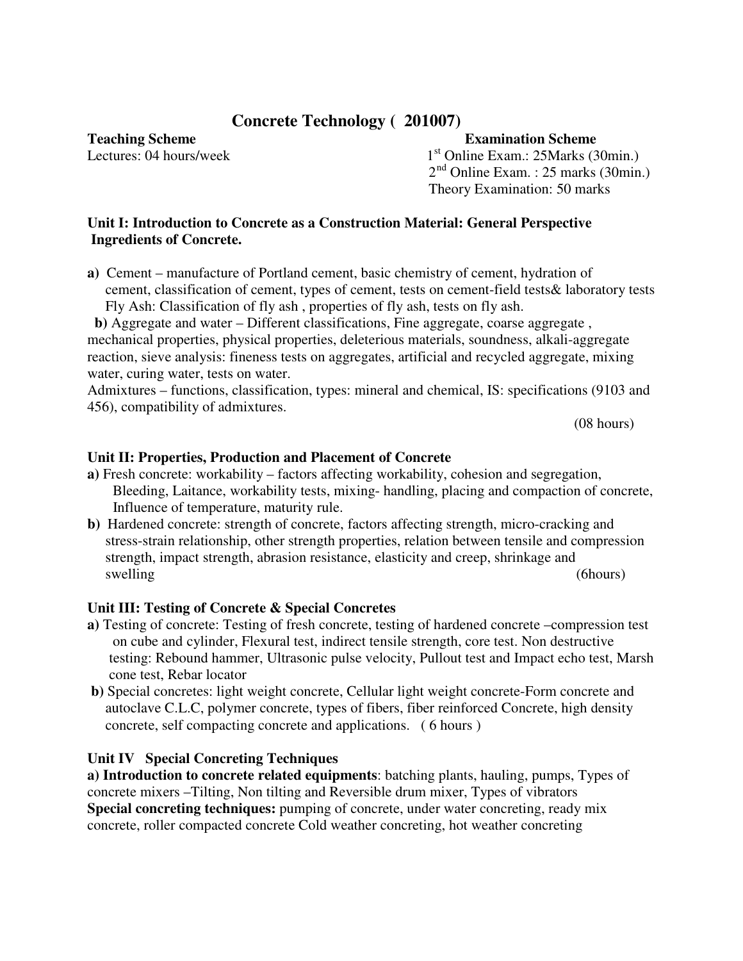# **Concrete Technology ( 201007)**

#### **Teaching Scheme Examination Scheme**

Lectures: 04 hours/week  $1<sup>st</sup>$  Online Exam.: 25Marks (30min.) 2nd Online Exam. : 25 marks (30min.) Theory Examination: 50 marks

#### **Unit I: Introduction to Concrete as a Construction Material: General Perspective Ingredients of Concrete.**

**a)** Cement – manufacture of Portland cement, basic chemistry of cement, hydration of cement, classification of cement, types of cement, tests on cement-field tests& laboratory tests Fly Ash: Classification of fly ash , properties of fly ash, tests on fly ash.

**b**) Aggregate and water – Different classifications, Fine aggregate, coarse aggregate, mechanical properties, physical properties, deleterious materials, soundness, alkali-aggregate reaction, sieve analysis: fineness tests on aggregates, artificial and recycled aggregate, mixing water, curing water, tests on water.

Admixtures – functions, classification, types: mineral and chemical, IS: specifications (9103 and 456), compatibility of admixtures.

(08 hours)

#### **Unit II: Properties, Production and Placement of Concrete**

- **a)** Fresh concrete: workability factors affecting workability, cohesion and segregation, Bleeding, Laitance, workability tests, mixing- handling, placing and compaction of concrete, Influence of temperature, maturity rule.
- **b)** Hardened concrete: strength of concrete, factors affecting strength, micro-cracking and stress-strain relationship, other strength properties, relation between tensile and compression strength, impact strength, abrasion resistance, elasticity and creep, shrinkage and swelling (6hours)

## **Unit III: Testing of Concrete & Special Concretes**

- **a)** Testing of concrete: Testing of fresh concrete, testing of hardened concrete –compression test on cube and cylinder, Flexural test, indirect tensile strength, core test. Non destructive testing: Rebound hammer, Ultrasonic pulse velocity, Pullout test and Impact echo test, Marsh cone test, Rebar locator
- **b)** Special concretes: light weight concrete, Cellular light weight concrete-Form concrete and autoclave C.L.C, polymer concrete, types of fibers, fiber reinforced Concrete, high density concrete, self compacting concrete and applications. ( 6 hours )

#### **Unit IV Special Concreting Techniques**

**a) Introduction to concrete related equipments**: batching plants, hauling, pumps, Types of concrete mixers –Tilting, Non tilting and Reversible drum mixer, Types of vibrators **Special concreting techniques:** pumping of concrete, under water concreting, ready mix concrete, roller compacted concrete Cold weather concreting, hot weather concreting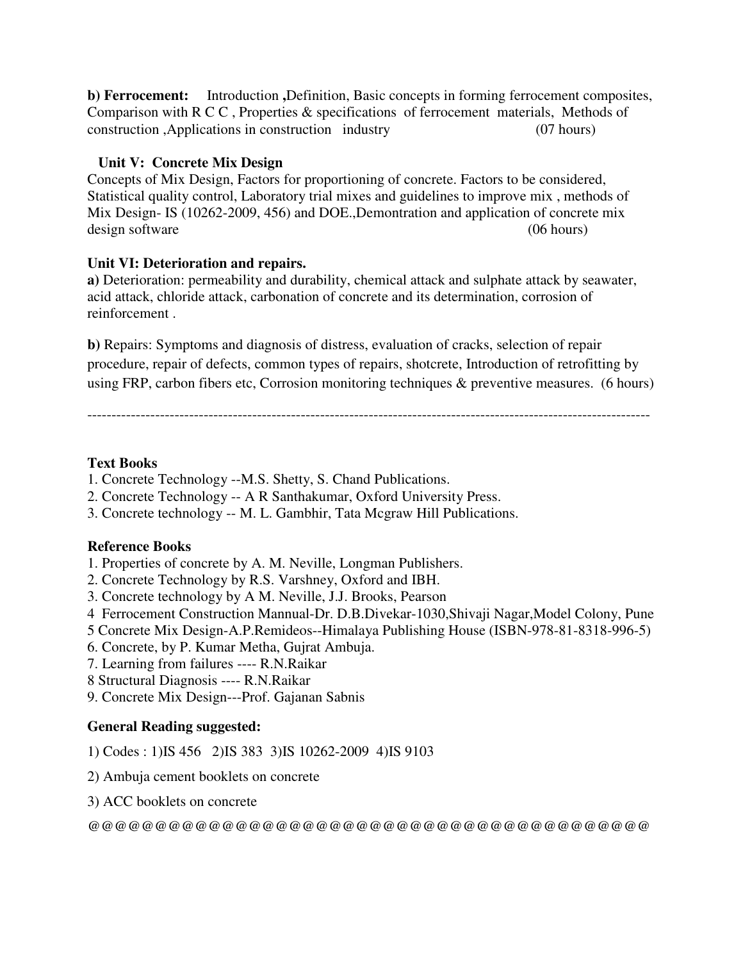**b) Ferrocement:** Introduction **,**Definition, Basic concepts in forming ferrocement composites, Comparison with R C C , Properties & specifications of ferrocement materials, Methods of construction ,Applications in construction industry (07 hours)

## **Unit V: Concrete Mix Design**

Concepts of Mix Design, Factors for proportioning of concrete. Factors to be considered, Statistical quality control, Laboratory trial mixes and guidelines to improve mix , methods of Mix Design- IS (10262-2009, 456) and DOE.,Demontration and application of concrete mix design software (06 hours)

## **Unit VI: Deterioration and repairs.**

**a)** Deterioration: permeability and durability, chemical attack and sulphate attack by seawater, acid attack, chloride attack, carbonation of concrete and its determination, corrosion of reinforcement .

**b)** Repairs: Symptoms and diagnosis of distress, evaluation of cracks, selection of repair procedure, repair of defects, common types of repairs, shotcrete, Introduction of retrofitting by using FRP, carbon fibers etc, Corrosion monitoring techniques & preventive measures. (6 hours)

--------------------------------------------------------------------------------------------------------------------

## **Text Books**

- 1. Concrete Technology --M.S. Shetty, S. Chand Publications.
- 2. Concrete Technology -- A R Santhakumar, Oxford University Press.
- 3. Concrete technology -- M. L. Gambhir, Tata Mcgraw Hill Publications.

## **Reference Books**

- 1. Properties of concrete by A. M. Neville, Longman Publishers.
- 2. Concrete Technology by R.S. Varshney, Oxford and IBH.
- 3. Concrete technology by A M. Neville, J.J. Brooks, Pearson
- 4 Ferrocement Construction Mannual-Dr. D.B.Divekar-1030,Shivaji Nagar,Model Colony, Pune
- 5 Concrete Mix Design-A.P.Remideos--Himalaya Publishing House (ISBN-978-81-8318-996-5)
- 6. Concrete, by P. Kumar Metha, Gujrat Ambuja.
- 7. Learning from failures ---- R.N.Raikar
- 8 Structural Diagnosis ---- R.N.Raikar
- 9. Concrete Mix Design---Prof. Gajanan Sabnis

## **General Reading suggested:**

1) Codes : 1)IS 456 2)IS 383 3)IS 10262-2009 4)IS 9103

- 2) Ambuja cement booklets on concrete
- 3) ACC booklets on concrete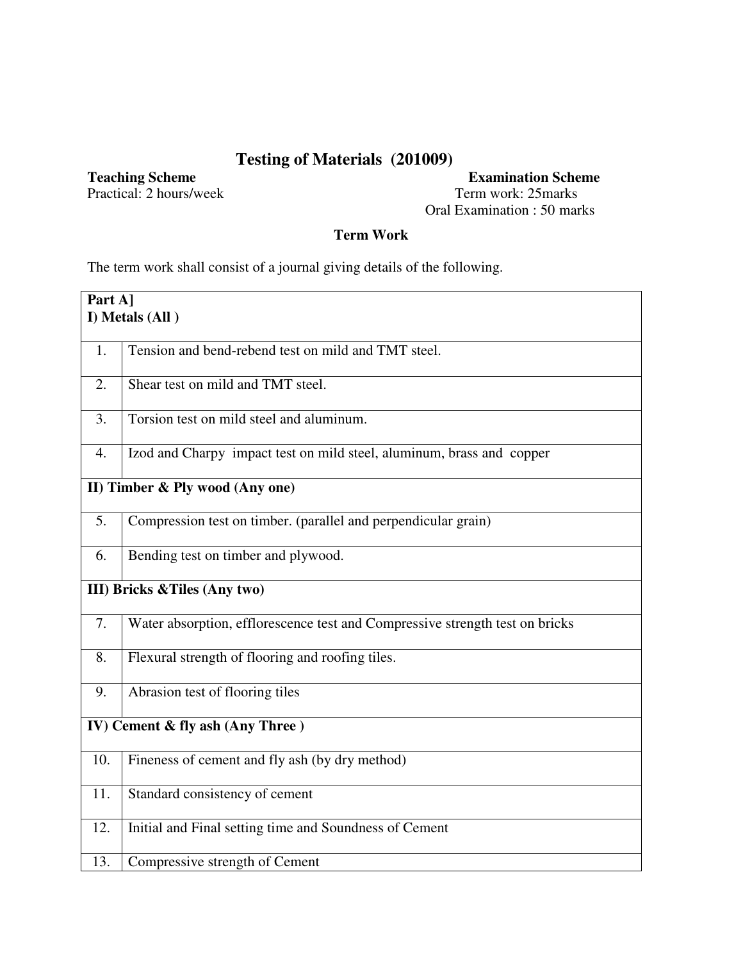# **Testing of Materials (201009)**

#### **Teaching Scheme Examination Scheme** Practical: 2 hours/week Term work: 25marks Oral Examination : 50 marks

#### **Term Work**

The term work shall consist of a journal giving details of the following.

| Part A] |                                                                              |
|---------|------------------------------------------------------------------------------|
|         | I) Metals (All)                                                              |
|         |                                                                              |
| 1.      | Tension and bend-rebend test on mild and TMT steel.                          |
| 2.      | Shear test on mild and TMT steel.                                            |
| 3.      | Torsion test on mild steel and aluminum.                                     |
| 4.      | Izod and Charpy impact test on mild steel, aluminum, brass and copper        |
|         | II) Timber & Ply wood (Any one)                                              |
|         |                                                                              |
| 5.      | Compression test on timber. (parallel and perpendicular grain)               |
| 6.      | Bending test on timber and plywood.                                          |
|         | <b>III) Bricks &amp; Tiles (Any two)</b>                                     |
| 7.      | Water absorption, efflorescence test and Compressive strength test on bricks |
| 8.      | Flexural strength of flooring and roofing tiles.                             |
| 9.      | Abrasion test of flooring tiles                                              |
|         | IV) Cement & fly ash (Any Three)                                             |
| 10.     | Fineness of cement and fly ash (by dry method)                               |
| 11.     | Standard consistency of cement                                               |
| 12.     | Initial and Final setting time and Soundness of Cement                       |
| 13.     | Compressive strength of Cement                                               |